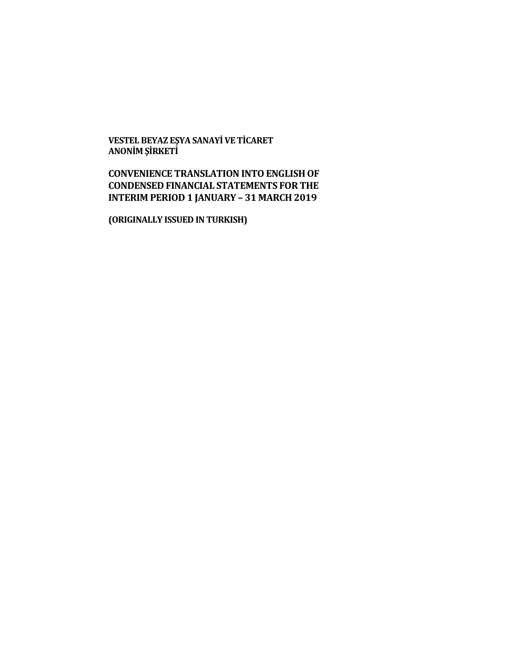**VESTEL BEYAZ EŞYA SANAYİ VE TİCARET ANONİM ŞİRKETİ**

# **CONVENIENCE TRANSLATION INTO ENGLISH OF CONDENSED FINANCIAL STATEMENTS FOR THE INTERIM PERIOD 1 JANUARY – 31 MARCH 2019**

**(ORIGINALLY ISSUED IN TURKISH)**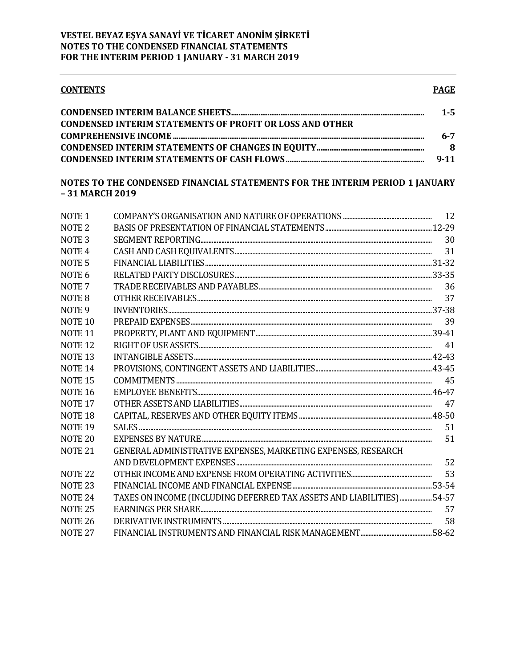| <b>CONTENTS</b>                                                 | <b>PAGE</b> |
|-----------------------------------------------------------------|-------------|
|                                                                 | $1 - 5$     |
| <b>CONDENSED INTERIM STATEMENTS OF PROFIT OR LOSS AND OTHER</b> |             |
|                                                                 |             |
|                                                                 |             |

| $9 - 11$ |
|----------|

## NOTES TO THE CONDENSED FINANCIAL STATEMENTS FOR THE INTERIM PERIOD 1 JANUARY -31 MARCH 2019

| NOTE <sub>1</sub>  |                                                                       |    |
|--------------------|-----------------------------------------------------------------------|----|
| NOTE <sub>2</sub>  |                                                                       |    |
| NOTE <sub>3</sub>  |                                                                       | 30 |
| NOTE <sub>4</sub>  |                                                                       |    |
| NOTE <sub>5</sub>  |                                                                       |    |
| NOTE <sub>6</sub>  |                                                                       |    |
| NOTE <sub>7</sub>  |                                                                       | 36 |
| NOTE 8             |                                                                       | 37 |
| NOTE <sub>9</sub>  |                                                                       |    |
| NOTE <sub>10</sub> |                                                                       | 39 |
| <b>NOTE 11</b>     |                                                                       |    |
| NOTE <sub>12</sub> |                                                                       |    |
| <b>NOTE 13</b>     |                                                                       |    |
| NOTE <sub>14</sub> |                                                                       |    |
| <b>NOTE 15</b>     |                                                                       | 45 |
| <b>NOTE 16</b>     |                                                                       |    |
| <b>NOTE 17</b>     |                                                                       | 47 |
| NOTE <sub>18</sub> |                                                                       |    |
| <b>NOTE 19</b>     |                                                                       | 51 |
| NOTE <sub>20</sub> |                                                                       | 51 |
| <b>NOTE 21</b>     | GENERAL ADMINISTRATIVE EXPENSES, MARKETING EXPENSES, RESEARCH         |    |
|                    |                                                                       | 52 |
| NOTE <sub>22</sub> |                                                                       | 53 |
| NOTE <sub>23</sub> |                                                                       |    |
| NOTE <sub>24</sub> | TAXES ON INCOME (INCLUDING DEFERRED TAX ASSETS AND LIABILITIES) 54-57 |    |
| <b>NOTE 25</b>     |                                                                       | 57 |
| <b>NOTE 26</b>     |                                                                       | 58 |
| <b>NOTE 27</b>     |                                                                       |    |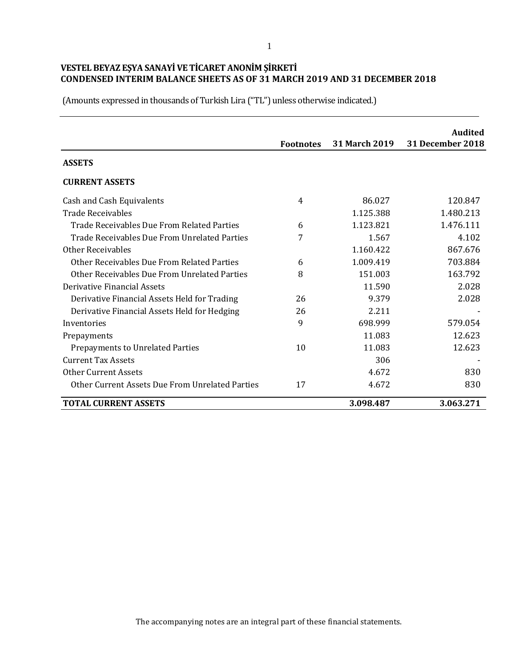|                                                 | <b>Footnotes</b> | <b>31 March 2019</b> | <b>Audited</b><br>31 December 2018 |
|-------------------------------------------------|------------------|----------------------|------------------------------------|
| <b>ASSETS</b>                                   |                  |                      |                                    |
| <b>CURRENT ASSETS</b>                           |                  |                      |                                    |
| Cash and Cash Equivalents                       | 4                | 86.027               | 120.847                            |
| <b>Trade Receivables</b>                        |                  | 1.125.388            | 1.480.213                          |
| Trade Receivables Due From Related Parties      | 6                | 1.123.821            | 1.476.111                          |
| Trade Receivables Due From Unrelated Parties    | 7                | 1.567                | 4.102                              |
| <b>Other Receivables</b>                        |                  | 1.160.422            | 867.676                            |
| Other Receivables Due From Related Parties      | 6                | 1.009.419            | 703.884                            |
| Other Receivables Due From Unrelated Parties    | 8                | 151.003              | 163.792                            |
| Derivative Financial Assets                     |                  | 11.590               | 2.028                              |
| Derivative Financial Assets Held for Trading    | 26               | 9.379                | 2.028                              |
| Derivative Financial Assets Held for Hedging    | 26               | 2.211                |                                    |
| Inventories                                     | 9                | 698.999              | 579.054                            |
| Prepayments                                     |                  | 11.083               | 12.623                             |
| <b>Prepayments to Unrelated Parties</b>         | 10               | 11.083               | 12.623                             |
| <b>Current Tax Assets</b>                       |                  | 306                  |                                    |
| <b>Other Current Assets</b>                     |                  | 4.672                | 830                                |
| Other Current Assets Due From Unrelated Parties | 17               | 4.672                | 830                                |
| <b>TOTAL CURRENT ASSETS</b>                     |                  | 3.098.487            | 3.063.271                          |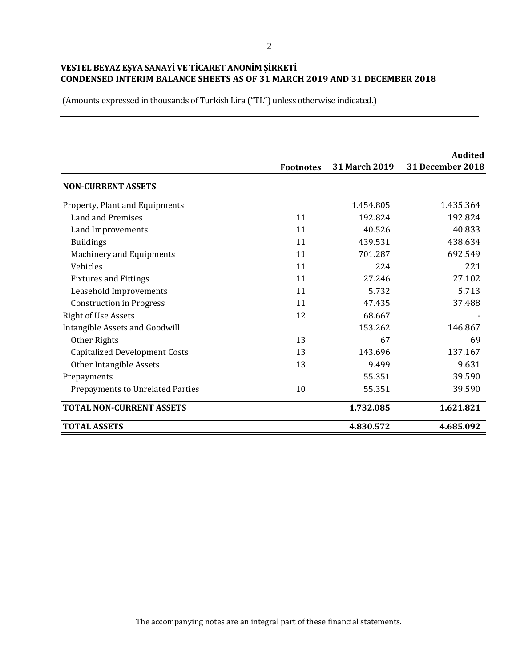|                                         | <b>Footnotes</b> | <b>31 March 2019</b> | Audited<br>31 December 2018 |
|-----------------------------------------|------------------|----------------------|-----------------------------|
| <b>NON-CURRENT ASSETS</b>               |                  |                      |                             |
| Property, Plant and Equipments          |                  | 1.454.805            | 1.435.364                   |
| <b>Land and Premises</b>                | 11               | 192.824              | 192.824                     |
| Land Improvements                       | 11               | 40.526               | 40.833                      |
| <b>Buildings</b>                        | 11               | 439.531              | 438.634                     |
| Machinery and Equipments                | 11               | 701.287              | 692.549                     |
| Vehicles                                | 11               | 224                  | 221                         |
| <b>Fixtures and Fittings</b>            | 11               | 27.246               | 27.102                      |
| Leasehold Improvements                  | 11               | 5.732                | 5.713                       |
| <b>Construction in Progress</b>         | 11               | 47.435               | 37.488                      |
| <b>Right of Use Assets</b>              | 12               | 68.667               |                             |
| Intangible Assets and Goodwill          |                  | 153.262              | 146.867                     |
| Other Rights                            | 13               | 67                   | 69                          |
| <b>Capitalized Development Costs</b>    | 13               | 143.696              | 137.167                     |
| Other Intangible Assets                 | 13               | 9.499                | 9.631                       |
| Prepayments                             |                  | 55.351               | 39.590                      |
| <b>Prepayments to Unrelated Parties</b> | 10               | 55.351               | 39.590                      |
| <b>TOTAL NON-CURRENT ASSETS</b>         |                  | 1.732.085            | 1.621.821                   |
| <b>TOTAL ASSETS</b>                     |                  | 4.830.572            | 4.685.092                   |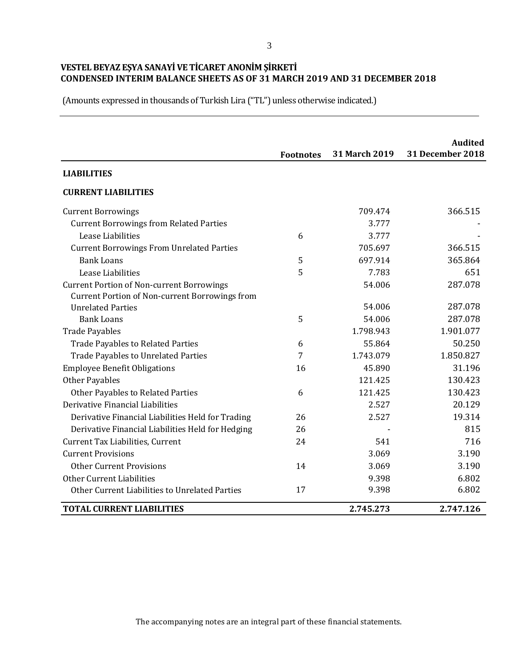|                                                       | <b>Footnotes</b> | 31 March 2019 | <b>Audited</b><br>31 December 2018 |
|-------------------------------------------------------|------------------|---------------|------------------------------------|
| <b>LIABILITIES</b>                                    |                  |               |                                    |
| <b>CURRENT LIABILITIES</b>                            |                  |               |                                    |
| <b>Current Borrowings</b>                             |                  | 709.474       | 366.515                            |
| <b>Current Borrowings from Related Parties</b>        |                  | 3.777         |                                    |
| Lease Liabilities                                     | 6                | 3.777         |                                    |
| <b>Current Borrowings From Unrelated Parties</b>      |                  | 705.697       | 366.515                            |
| <b>Bank Loans</b>                                     | 5                | 697.914       | 365.864                            |
| Lease Liabilities                                     | 5                | 7.783         | 651                                |
| <b>Current Portion of Non-current Borrowings</b>      |                  | 54.006        | 287.078                            |
| <b>Current Portion of Non-current Borrowings from</b> |                  |               |                                    |
| <b>Unrelated Parties</b>                              |                  | 54.006        | 287.078                            |
| <b>Bank Loans</b>                                     | 5                | 54.006        | 287.078                            |
| <b>Trade Payables</b>                                 |                  | 1.798.943     | 1.901.077                          |
| <b>Trade Payables to Related Parties</b>              | 6                | 55.864        | 50.250                             |
| <b>Trade Payables to Unrelated Parties</b>            | 7                | 1.743.079     | 1.850.827                          |
| <b>Employee Benefit Obligations</b>                   | 16               | 45.890        | 31.196                             |
| <b>Other Payables</b>                                 |                  | 121.425       | 130.423                            |
| Other Payables to Related Parties                     | 6                | 121.425       | 130.423                            |
| Derivative Financial Liabilities                      |                  | 2.527         | 20.129                             |
| Derivative Financial Liabilities Held for Trading     | 26               | 2.527         | 19.314                             |
| Derivative Financial Liabilities Held for Hedging     | 26               |               | 815                                |
| Current Tax Liabilities, Current                      | 24               | 541           | 716                                |
| <b>Current Provisions</b>                             |                  | 3.069         | 3.190                              |
| <b>Other Current Provisions</b>                       | 14               | 3.069         | 3.190                              |
| Other Current Liabilities                             |                  | 9.398         | 6.802                              |
| Other Current Liabilities to Unrelated Parties        | 17               | 9.398         | 6.802                              |
| <b>TOTAL CURRENT LIABILITIES</b>                      |                  | 2.745.273     | 2.747.126                          |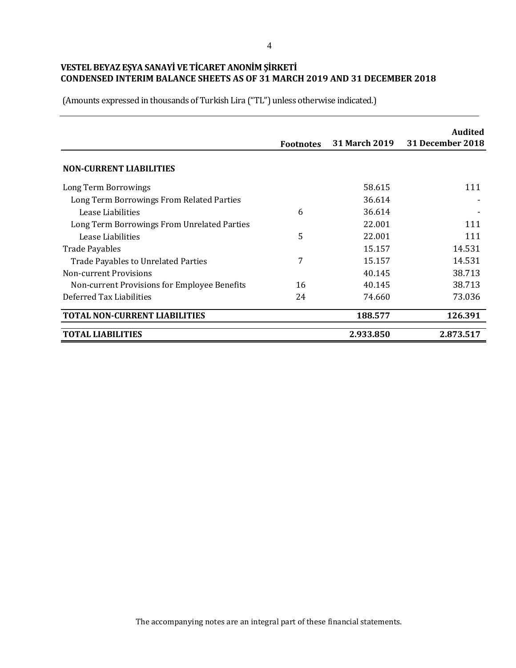|                                              | <b>Footnotes</b> | <b>31 March 2019</b> | <b>Audited</b><br>31 December 2018 |
|----------------------------------------------|------------------|----------------------|------------------------------------|
| <b>NON-CURRENT LIABILITIES</b>               |                  |                      |                                    |
| Long Term Borrowings                         |                  | 58.615               | 111                                |
| Long Term Borrowings From Related Parties    |                  | 36.614               |                                    |
| Lease Liabilities                            | 6                | 36.614               |                                    |
| Long Term Borrowings From Unrelated Parties  |                  | 22.001               | 111                                |
| Lease Liabilities                            | 5                | 22.001               | 111                                |
| <b>Trade Payables</b>                        |                  | 15.157               | 14.531                             |
| <b>Trade Payables to Unrelated Parties</b>   | 7                | 15.157               | 14.531                             |
| <b>Non-current Provisions</b>                |                  | 40.145               | 38.713                             |
| Non-current Provisions for Employee Benefits | 16               | 40.145               | 38.713                             |
| Deferred Tax Liabilities                     | 24               | 74.660               | 73.036                             |
| <b>TOTAL NON-CURRENT LIABILITIES</b>         |                  | 188.577              | 126.391                            |
| <b>TOTAL LIABILITIES</b>                     |                  | 2.933.850            | 2.873.517                          |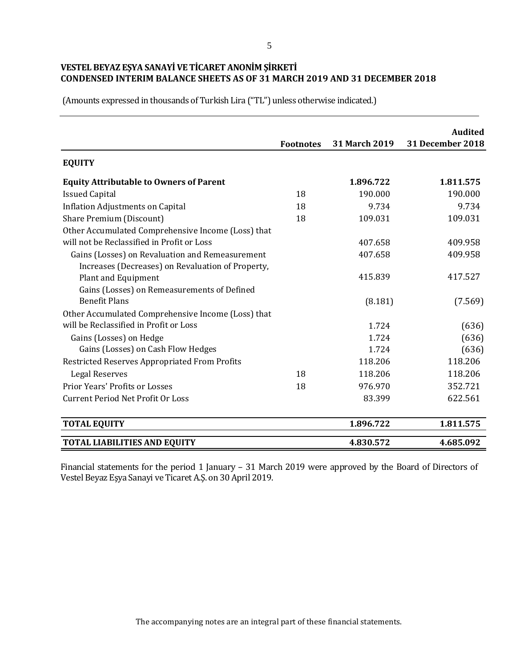(Amounts expressed in thousands of Turkish Lira ("TL") unless otherwise indicated.)

|                                                                          |                  |               | <b>Audited</b>          |
|--------------------------------------------------------------------------|------------------|---------------|-------------------------|
|                                                                          | <b>Footnotes</b> | 31 March 2019 | <b>31 December 2018</b> |
| <b>EQUITY</b>                                                            |                  |               |                         |
| <b>Equity Attributable to Owners of Parent</b>                           |                  | 1.896.722     | 1.811.575               |
| <b>Issued Capital</b>                                                    | 18               | 190.000       | 190.000                 |
| <b>Inflation Adjustments on Capital</b>                                  | 18               | 9.734         | 9.734                   |
| Share Premium (Discount)                                                 | 18               | 109.031       | 109.031                 |
| Other Accumulated Comprehensive Income (Loss) that                       |                  |               |                         |
| will not be Reclassified in Profit or Loss                               |                  | 407.658       | 409.958                 |
| Gains (Losses) on Revaluation and Remeasurement                          |                  | 407.658       | 409.958                 |
| Increases (Decreases) on Revaluation of Property,<br>Plant and Equipment |                  | 415.839       | 417.527                 |
| Gains (Losses) on Remeasurements of Defined                              |                  |               |                         |
| <b>Benefit Plans</b>                                                     |                  | (8.181)       | (7.569)                 |
| Other Accumulated Comprehensive Income (Loss) that                       |                  |               |                         |
| will be Reclassified in Profit or Loss                                   |                  | 1.724         | (636)                   |
| Gains (Losses) on Hedge                                                  |                  | 1.724         | (636)                   |
| Gains (Losses) on Cash Flow Hedges                                       |                  | 1.724         | (636)                   |
| Restricted Reserves Appropriated From Profits                            |                  | 118.206       | 118.206                 |
| <b>Legal Reserves</b>                                                    | 18               | 118.206       | 118.206                 |
| Prior Years' Profits or Losses                                           | 18               | 976.970       | 352.721                 |
| <b>Current Period Net Profit Or Loss</b>                                 |                  | 83.399        | 622.561                 |
| <b>TOTAL EQUITY</b>                                                      |                  | 1.896.722     | 1.811.575               |
| <b>TOTAL LIABILITIES AND EQUITY</b>                                      |                  | 4.830.572     | 4.685.092               |

Financial statements for the period 1 January – 31 March 2019 were approved by the Board of Directors of Vestel Beyaz Eşya Sanayi ve Ticaret A.Ş. on 30 April 2019.

The accompanying notes are an integral part of these financial statements.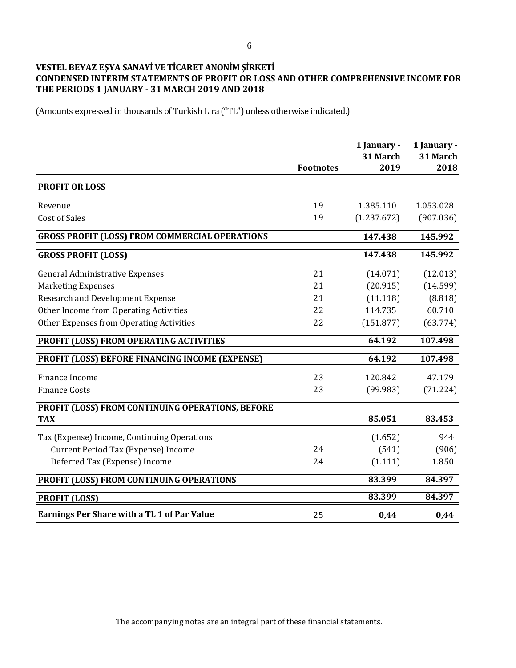## **VESTEL BEYAZ EŞYA SANAYİ VE TİCARET ANONİM ŞİRKETİ CONDENSED INTERIM STATEMENTS OF PROFIT OR LOSS AND OTHER COMPREHENSIVE INCOME FOR THE PERIODS 1 JANUARY - 31 MARCH 2019 AND 2018**

(Amounts expressed in thousands of Turkish Lira ("TL") unless otherwise indicated.)

|                                                       | <b>Footnotes</b> | 1 January -<br>31 March<br>2019 | 1 January -<br>31 March<br>2018 |
|-------------------------------------------------------|------------------|---------------------------------|---------------------------------|
| <b>PROFIT OR LOSS</b>                                 |                  |                                 |                                 |
| Revenue                                               | 19               | 1.385.110                       | 1.053.028                       |
| <b>Cost of Sales</b>                                  | 19               | (1.237.672)                     | (907.036)                       |
| <b>GROSS PROFIT (LOSS) FROM COMMERCIAL OPERATIONS</b> |                  | 147.438                         | 145.992                         |
| <b>GROSS PROFIT (LOSS)</b>                            |                  | 147.438                         | 145.992                         |
| <b>General Administrative Expenses</b>                | 21               | (14.071)                        | (12.013)                        |
| <b>Marketing Expenses</b>                             | 21               | (20.915)                        | (14.599)                        |
| <b>Research and Development Expense</b>               | 21               | (11.118)                        | (8.818)                         |
| Other Income from Operating Activities                | 22               | 114.735                         | 60.710                          |
| Other Expenses from Operating Activities              | 22               | (151.877)                       | (63.774)                        |
| PROFIT (LOSS) FROM OPERATING ACTIVITIES               |                  | 64.192                          | 107.498                         |
| PROFIT (LOSS) BEFORE FINANCING INCOME (EXPENSE)       |                  | 64.192                          | 107.498                         |
| Finance Income                                        | 23               | 120.842                         | 47.179                          |
| <b>Finance Costs</b>                                  | 23               | (99.983)                        | (71.224)                        |
| PROFIT (LOSS) FROM CONTINUING OPERATIONS, BEFORE      |                  |                                 |                                 |
| <b>TAX</b>                                            |                  | 85.051                          | 83.453                          |
| Tax (Expense) Income, Continuing Operations           |                  | (1.652)                         | 944                             |
| Current Period Tax (Expense) Income                   | 24               | (541)                           | (906)                           |
| Deferred Tax (Expense) Income                         | 24               | (1.111)                         | 1.850                           |
| PROFIT (LOSS) FROM CONTINUING OPERATIONS              |                  | 83.399                          | 84.397                          |
| <b>PROFIT (LOSS)</b>                                  |                  | 83.399                          | 84.397                          |
| <b>Earnings Per Share with a TL 1 of Par Value</b>    | 25               | 0,44                            | 0,44                            |

The accompanying notes are an integral part of these financial statements.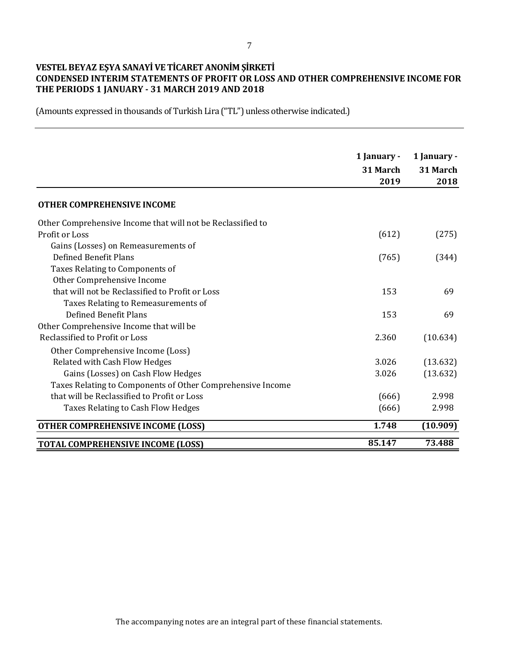## **VESTEL BEYAZ EŞYA SANAYİ VE TİCARET ANONİM ŞİRKETİ CONDENSED INTERIM STATEMENTS OF PROFIT OR LOSS AND OTHER COMPREHENSIVE INCOME FOR THE PERIODS 1 JANUARY - 31 MARCH 2019 AND 2018**

|                                                             | 1 January - | 1 January - |
|-------------------------------------------------------------|-------------|-------------|
|                                                             | 31 March    | 31 March    |
|                                                             | 2019        | 2018        |
| <b>OTHER COMPREHENSIVE INCOME</b>                           |             |             |
| Other Comprehensive Income that will not be Reclassified to |             |             |
| Profit or Loss                                              | (612)       | (275)       |
| Gains (Losses) on Remeasurements of                         |             |             |
| Defined Benefit Plans                                       | (765)       | (344)       |
| Taxes Relating to Components of                             |             |             |
| Other Comprehensive Income                                  |             |             |
| that will not be Reclassified to Profit or Loss             | 153         | 69          |
| Taxes Relating to Remeasurements of                         |             |             |
| Defined Benefit Plans                                       | 153         | 69          |
| Other Comprehensive Income that will be                     |             |             |
| Reclassified to Profit or Loss                              | 2.360       | (10.634)    |
| Other Comprehensive Income (Loss)                           |             |             |
| Related with Cash Flow Hedges                               | 3.026       | (13.632)    |
| Gains (Losses) on Cash Flow Hedges                          | 3.026       | (13.632)    |
| Taxes Relating to Components of Other Comprehensive Income  |             |             |
| that will be Reclassified to Profit or Loss                 | (666)       | 2.998       |
| Taxes Relating to Cash Flow Hedges                          | (666)       | 2.998       |
| <b>OTHER COMPREHENSIVE INCOME (LOSS)</b>                    | 1.748       | (10.909)    |
| <b>TOTAL COMPREHENSIVE INCOME (LOSS)</b>                    | 85.147      | 73.488      |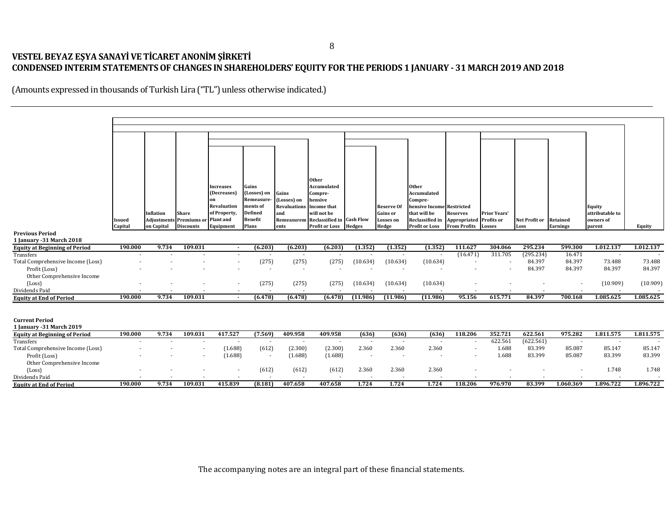# **VESTEL BEYAZ EŞYA SANAYİ VE TİCARET ANONİM ŞİRKETİ CONDENSED INTERIM STATEMENTS OF CHANGES IN SHAREHOLDERS' EQUITY FOR THE PERIODS 1 JANUARY - 31 MARCH 2019 AND 2018**

|                                                  |         |                                                       |                  |                  |                                  |                                 | <b>Other</b>                                        |                          |                                     |                                           |                                 |                                          |                        |                 |                              |           |
|--------------------------------------------------|---------|-------------------------------------------------------|------------------|------------------|----------------------------------|---------------------------------|-----------------------------------------------------|--------------------------|-------------------------------------|-------------------------------------------|---------------------------------|------------------------------------------|------------------------|-----------------|------------------------------|-----------|
|                                                  |         |                                                       |                  | <b>Increases</b> | Gains                            |                                 | Accumulated                                         |                          |                                     | <b>Other</b>                              |                                 |                                          |                        |                 |                              |           |
|                                                  |         |                                                       |                  | (Decreases)      | (Losses) on                      | Gains                           | Compre-                                             |                          |                                     | Accumulated                               |                                 |                                          |                        |                 |                              |           |
|                                                  |         |                                                       |                  | on               | Remeasure-                       | (Losses) on                     | hensive                                             |                          |                                     | Compre-                                   |                                 |                                          |                        |                 |                              |           |
|                                                  |         |                                                       |                  | Revaluation      | ments of                         | <b>Revaluations</b> Income that |                                                     |                          | <b>Reserve Of</b>                   | hensive Income Restricted<br>that will be |                                 |                                          |                        |                 | <b>Equity</b>                |           |
|                                                  | Issued  | Inflation<br><b>Adjustments Premiums or Plant and</b> | Share            | of Property,     | <b>Defined</b><br><b>Benefit</b> | and                             | will not be<br>Remeasurem Reclassified in Cash Flow |                          | <b>Gains</b> or<br><b>Losses</b> on | <b>Reclassified in</b>                    | <b>Reserves</b><br>Appropriated | <b>Prior Years'</b><br><b>Profits or</b> | Net Profit or Retained |                 | attributable to<br>owners of |           |
|                                                  | Capital | on Capital                                            | <b>Discounts</b> | Equipment        | Plans                            | ents                            | <b>Profit or Loss</b>                               | <b>Hedges</b>            | Hedge                               | <b>Profit or Loss</b>                     | <b>From Profits</b>             | <b>Losses</b>                            | Loss                   | <b>Earnings</b> | parent                       | Equity    |
| <b>Previous Period</b>                           |         |                                                       |                  |                  |                                  |                                 |                                                     |                          |                                     |                                           |                                 |                                          |                        |                 |                              |           |
| 1 January - 31 March 2018                        |         |                                                       |                  |                  |                                  |                                 |                                                     |                          |                                     |                                           |                                 |                                          |                        |                 |                              |           |
| <b>Equity at Beginning of Period</b>             | 190.000 | 9.734                                                 | 109.031          |                  | (6.203)                          | (6.203)                         | (6.203)                                             | (1.352)                  | (1.352)                             | (1.352)                                   | 111.627                         | 304.066                                  | 295.234                | 599.300         | 1.012.137                    | 1.012.137 |
| Transfers                                        |         |                                                       |                  |                  |                                  | $\sim$                          |                                                     |                          | $\overline{\phantom{a}}$            | $\overline{\phantom{a}}$                  | (16.471)                        | 311.705                                  | (295.234)              | 16.471          |                              |           |
| Total Comprehensive Income (Loss)                |         |                                                       |                  |                  | (275)                            | (275)                           | (275)                                               | (10.634)                 | (10.634)                            | (10.634)                                  |                                 |                                          | 84.397                 | 84.397          | 73.488                       | 73.488    |
| Profit (Loss)                                    |         |                                                       |                  |                  |                                  |                                 |                                                     |                          |                                     |                                           |                                 |                                          | 84.397                 | 84.397          | 84.397                       | 84.397    |
| Other Comprehensive Income                       |         |                                                       |                  |                  |                                  |                                 |                                                     |                          |                                     |                                           |                                 |                                          |                        |                 |                              |           |
| (Loss)                                           |         |                                                       |                  |                  | (275)                            | (275)                           | (275)                                               | (10.634)                 | (10.634)                            | (10.634)                                  |                                 |                                          |                        |                 | (10.909)                     | (10.909)  |
| Dividends Paid                                   |         |                                                       |                  |                  |                                  |                                 |                                                     |                          |                                     |                                           |                                 |                                          |                        |                 |                              |           |
| <b>Equity at End of Period</b>                   | 190.000 | 9.734                                                 | 109.031          |                  | (6.478)                          | (6.478)                         | (6.478)                                             | (11.986)                 | (11.986)                            | (11.986)                                  | 95.156                          | 615.771                                  | 84.397                 | 700.168         | 1.085.625                    | 1.085.625 |
|                                                  |         |                                                       |                  |                  |                                  |                                 |                                                     |                          |                                     |                                           |                                 |                                          |                        |                 |                              |           |
| <b>Current Period</b>                            |         |                                                       |                  |                  |                                  |                                 |                                                     |                          |                                     |                                           |                                 |                                          |                        |                 |                              |           |
| 1 January - 31 March 2019                        |         |                                                       |                  |                  |                                  |                                 |                                                     |                          |                                     |                                           |                                 |                                          |                        |                 |                              |           |
| <b>Equity at Beginning of Period</b>             | 190.000 | 9.734                                                 | 109.031          | 417.527          | (7.569)                          | 409.958                         | 409.958                                             | (636)                    | (636)                               | (636)                                     | 118.206                         | 352.721                                  | 622.561                | 975.282         | 1.811.575                    | 1.811.575 |
| Transfers                                        |         |                                                       |                  |                  | $\sim$                           | $\sim$                          |                                                     | $\overline{\phantom{a}}$ | $\sim$                              | $\overline{\phantom{a}}$                  | $\overline{\phantom{a}}$        | 622.561                                  | (622.561)              |                 |                              |           |
| Total Comprehensive Income (Loss)                |         |                                                       |                  | (1.688)          | (612)                            | (2.300)                         | (2.300)                                             | 2.360                    | 2.360                               | 2.360                                     | $\overline{\phantom{a}}$        | 1.688                                    | 83.399                 | 85.087          | 85.147                       | 85.147    |
| Profit (Loss)                                    |         |                                                       |                  | (1.688)          | $\sim$                           | (1.688)                         | (1.688)                                             | $\overline{\phantom{a}}$ | $\overline{\phantom{a}}$            |                                           |                                 | 1.688                                    | 83.399                 | 85.087          | 83.399                       | 83.399    |
|                                                  |         |                                                       |                  |                  |                                  |                                 |                                                     |                          |                                     |                                           |                                 |                                          |                        |                 |                              |           |
| Other Comprehensive Income                       |         |                                                       |                  |                  | (612)                            | (612)                           | (612)                                               | 2.360                    | 2.360                               | 2.360                                     |                                 |                                          |                        |                 | 1.748                        | 1.748     |
| (Loss)                                           |         |                                                       |                  |                  |                                  |                                 |                                                     |                          |                                     |                                           |                                 |                                          |                        |                 |                              |           |
| Dividends Paid<br><b>Equity at End of Period</b> | 190.000 | 9.734                                                 | 109.031          | 415.839          | (8.181)                          | 407.658                         | 407.658                                             | 1.724                    | 1.724                               | 1.724                                     | 118.206                         | 976.970                                  | 83.399                 | 1.060.369       | 1.896.722                    | 1.896.722 |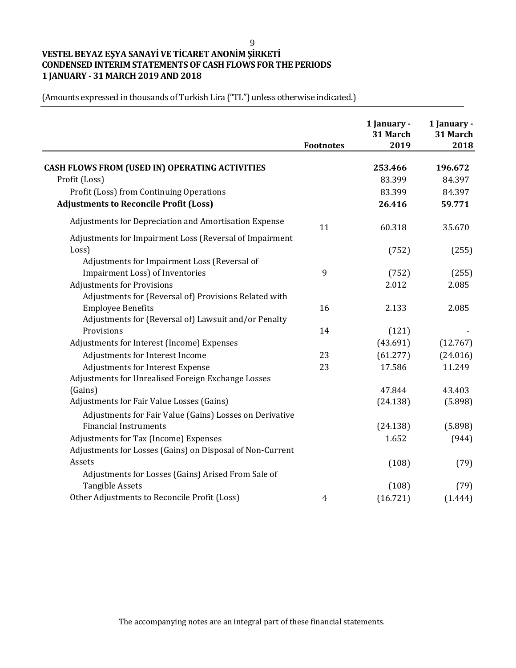9

# **VESTEL BEYAZ EŞYA SANAYİ VE TİCARET ANONİM ŞİRKETİ CONDENSED INTERIM STATEMENTS OF CASH FLOWS FOR THE PERIODS 1 JANUARY - 31 MARCH 2019 AND 2018**

|                                                           | <b>Footnotes</b> | 1 January -<br>31 March<br>2019 | 1 January -<br>31 March<br>2018 |
|-----------------------------------------------------------|------------------|---------------------------------|---------------------------------|
| <b>CASH FLOWS FROM (USED IN) OPERATING ACTIVITIES</b>     |                  | 253.466                         | 196.672                         |
| Profit (Loss)                                             |                  | 83.399                          | 84.397                          |
| Profit (Loss) from Continuing Operations                  |                  | 83.399                          | 84.397                          |
| <b>Adjustments to Reconcile Profit (Loss)</b>             |                  | 26.416                          | 59.771                          |
| Adjustments for Depreciation and Amortisation Expense     | 11               | 60.318                          | 35.670                          |
| Adjustments for Impairment Loss (Reversal of Impairment   |                  |                                 |                                 |
| Loss)                                                     |                  | (752)                           | (255)                           |
| Adjustments for Impairment Loss (Reversal of              |                  |                                 |                                 |
| Impairment Loss) of Inventories                           | 9                | (752)                           | (255)                           |
| <b>Adjustments for Provisions</b>                         |                  | 2.012                           | 2.085                           |
| Adjustments for (Reversal of) Provisions Related with     |                  |                                 |                                 |
| <b>Employee Benefits</b>                                  | 16               | 2.133                           | 2.085                           |
| Adjustments for (Reversal of) Lawsuit and/or Penalty      |                  |                                 |                                 |
| Provisions                                                | 14               | (121)                           |                                 |
| Adjustments for Interest (Income) Expenses                |                  | (43.691)                        | (12.767)                        |
| Adjustments for Interest Income                           | 23               | (61.277)                        | (24.016)                        |
| Adjustments for Interest Expense                          | 23               | 17.586                          | 11.249                          |
| Adjustments for Unrealised Foreign Exchange Losses        |                  |                                 |                                 |
| (Gains)                                                   |                  | 47.844                          | 43.403                          |
| Adjustments for Fair Value Losses (Gains)                 |                  | (24.138)                        | (5.898)                         |
| Adjustments for Fair Value (Gains) Losses on Derivative   |                  |                                 |                                 |
| <b>Financial Instruments</b>                              |                  | (24.138)                        | (5.898)                         |
| Adjustments for Tax (Income) Expenses                     |                  | 1.652                           | (944)                           |
| Adjustments for Losses (Gains) on Disposal of Non-Current |                  |                                 |                                 |
| Assets                                                    |                  | (108)                           | (79)                            |
| Adjustments for Losses (Gains) Arised From Sale of        |                  |                                 |                                 |
| <b>Tangible Assets</b>                                    |                  | (108)                           | (79)                            |
| Other Adjustments to Reconcile Profit (Loss)              | 4                | (16.721)                        | (1.444)                         |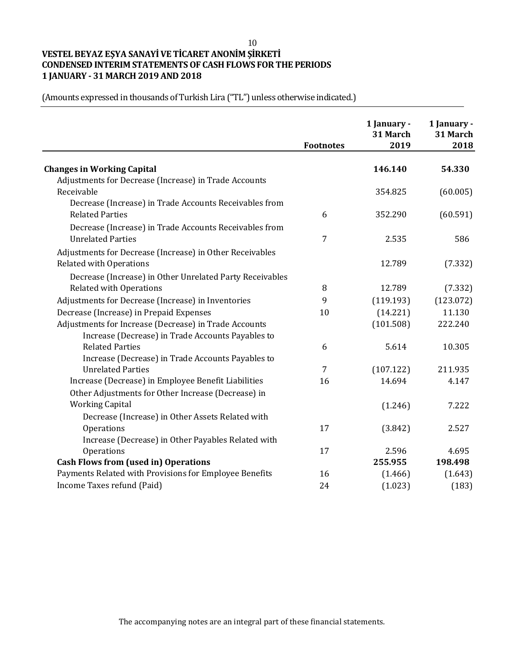10

# **VESTEL BEYAZ EŞYA SANAYİ VE TİCARET ANONİM ŞİRKETİ CONDENSED INTERIM STATEMENTS OF CASH FLOWS FOR THE PERIODS 1 JANUARY - 31 MARCH 2019 AND 2018**

|                                                          | <b>Footnotes</b> | 1 January -<br>31 March<br>2019 | 1 January -<br>31 March<br>2018 |
|----------------------------------------------------------|------------------|---------------------------------|---------------------------------|
| <b>Changes in Working Capital</b>                        |                  | 146.140                         | 54.330                          |
| Adjustments for Decrease (Increase) in Trade Accounts    |                  |                                 |                                 |
| Receivable                                               |                  | 354.825                         | (60.005)                        |
| Decrease (Increase) in Trade Accounts Receivables from   |                  |                                 |                                 |
| <b>Related Parties</b>                                   | 6                | 352.290                         | (60.591)                        |
| Decrease (Increase) in Trade Accounts Receivables from   |                  |                                 |                                 |
| <b>Unrelated Parties</b>                                 | 7                | 2.535                           | 586                             |
|                                                          |                  |                                 |                                 |
| Adjustments for Decrease (Increase) in Other Receivables |                  |                                 |                                 |
| <b>Related with Operations</b>                           |                  | 12.789                          | (7.332)                         |
| Decrease (Increase) in Other Unrelated Party Receivables |                  |                                 |                                 |
| <b>Related with Operations</b>                           | 8                | 12.789                          | (7.332)                         |
| Adjustments for Decrease (Increase) in Inventories       | 9                | (119.193)                       | (123.072)                       |
| Decrease (Increase) in Prepaid Expenses                  | 10               | (14.221)                        | 11.130                          |
| Adjustments for Increase (Decrease) in Trade Accounts    |                  | (101.508)                       | 222.240                         |
| Increase (Decrease) in Trade Accounts Payables to        |                  |                                 |                                 |
| <b>Related Parties</b>                                   | 6                | 5.614                           | 10.305                          |
| Increase (Decrease) in Trade Accounts Payables to        |                  |                                 |                                 |
| <b>Unrelated Parties</b>                                 | 7                | (107.122)                       | 211.935                         |
| Increase (Decrease) in Employee Benefit Liabilities      | 16               | 14.694                          | 4.147                           |
| Other Adjustments for Other Increase (Decrease) in       |                  |                                 |                                 |
| <b>Working Capital</b>                                   |                  | (1.246)                         | 7.222                           |
| Decrease (Increase) in Other Assets Related with         |                  |                                 |                                 |
| Operations                                               | 17               | (3.842)                         | 2.527                           |
| Increase (Decrease) in Other Payables Related with       |                  |                                 |                                 |
| Operations                                               | 17               | 2.596                           | 4.695                           |
| <b>Cash Flows from (used in) Operations</b>              |                  | 255.955                         | 198.498                         |
| Payments Related with Provisions for Employee Benefits   | 16               | (1.466)                         | (1.643)                         |
| Income Taxes refund (Paid)                               | 24               | (1.023)                         | (183)                           |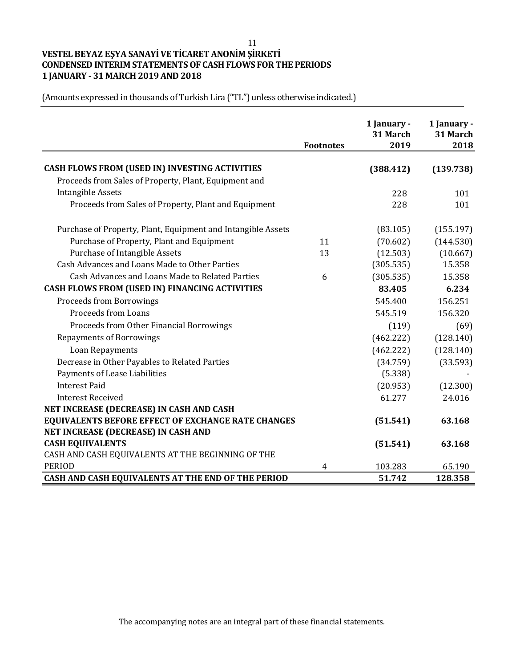11

# **VESTEL BEYAZ EŞYA SANAYİ VE TİCARET ANONİM ŞİRKETİ CONDENSED INTERIM STATEMENTS OF CASH FLOWS FOR THE PERIODS 1 JANUARY - 31 MARCH 2019 AND 2018**

| (Amounts expressed in thousands of Turkish Lira ("TL") unless otherwise indicated.) |  |
|-------------------------------------------------------------------------------------|--|
|-------------------------------------------------------------------------------------|--|

|                                                              | <b>Footnotes</b> | 1 January -<br>31 March<br>2019 | 1 January -<br>31 March<br>2018 |
|--------------------------------------------------------------|------------------|---------------------------------|---------------------------------|
|                                                              |                  |                                 |                                 |
| CASH FLOWS FROM (USED IN) INVESTING ACTIVITIES               |                  | (388.412)                       | (139.738)                       |
| Proceeds from Sales of Property, Plant, Equipment and        |                  |                                 |                                 |
| <b>Intangible Assets</b>                                     |                  | 228                             | 101                             |
| Proceeds from Sales of Property, Plant and Equipment         |                  | 228                             | 101                             |
| Purchase of Property, Plant, Equipment and Intangible Assets |                  | (83.105)                        | (155.197)                       |
| Purchase of Property, Plant and Equipment                    | 11               | (70.602)                        | (144.530)                       |
| <b>Purchase of Intangible Assets</b>                         | 13               | (12.503)                        | (10.667)                        |
| Cash Advances and Loans Made to Other Parties                |                  | (305.535)                       | 15.358                          |
| Cash Advances and Loans Made to Related Parties              | 6                | (305.535)                       | 15.358                          |
| CASH FLOWS FROM (USED IN) FINANCING ACTIVITIES               |                  | 83.405                          | 6.234                           |
| <b>Proceeds from Borrowings</b>                              |                  | 545.400                         | 156.251                         |
| <b>Proceeds from Loans</b>                                   |                  | 545.519                         | 156.320                         |
| Proceeds from Other Financial Borrowings                     |                  | (119)                           | (69)                            |
| <b>Repayments of Borrowings</b>                              |                  | (462.222)                       | (128.140)                       |
| Loan Repayments                                              |                  | (462.222)                       | (128.140)                       |
| Decrease in Other Payables to Related Parties                |                  | (34.759)                        | (33.593)                        |
| Payments of Lease Liabilities                                |                  | (5.338)                         |                                 |
| <b>Interest Paid</b>                                         |                  | (20.953)                        | (12.300)                        |
| <b>Interest Received</b>                                     |                  | 61.277                          | 24.016                          |
| NET INCREASE (DECREASE) IN CASH AND CASH                     |                  |                                 |                                 |
| <b>EQUIVALENTS BEFORE EFFECT OF EXCHANGE RATE CHANGES</b>    |                  | (51.541)                        | 63.168                          |
| NET INCREASE (DECREASE) IN CASH AND                          |                  |                                 |                                 |
| <b>CASH EQUIVALENTS</b>                                      |                  | (51.541)                        | 63.168                          |
| CASH AND CASH EQUIVALENTS AT THE BEGINNING OF THE            |                  |                                 |                                 |
| <b>PERIOD</b>                                                | 4                | 103.283                         | 65.190                          |
| CASH AND CASH EQUIVALENTS AT THE END OF THE PERIOD           |                  | 51.742                          | 128.358                         |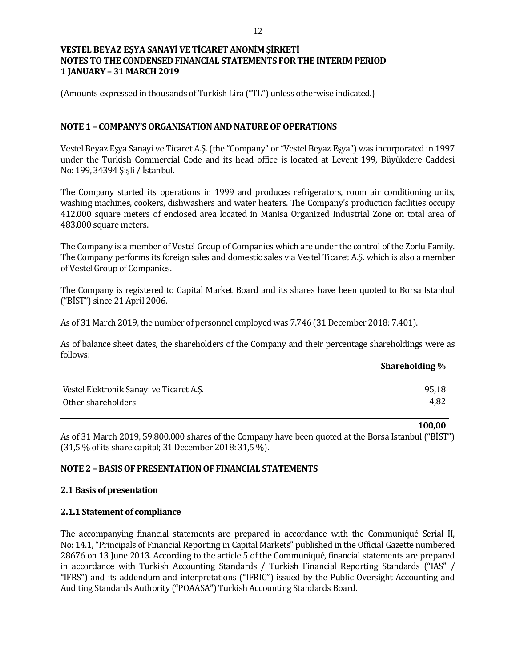(Amounts expressed in thousands of Turkish Lira ("TL") unless otherwise indicated.)

#### **NOTE 1 – COMPANY'S ORGANISATION AND NATURE OF OPERATIONS**

Vestel Beyaz Eşya Sanayi ve Ticaret A.Ş. (the "Company" or "Vestel Beyaz Eşya") was incorporated in 1997 under the Turkish Commercial Code and its head office is located at Levent 199, Büyükdere Caddesi No: 199, 34394 Şişli / İstanbul.

The Company started its operations in 1999 and produces refrigerators, room air conditioning units, washing machines, cookers, dishwashers and water heaters. The Company's production facilities occupy 412.000 square meters of enclosed area located in Manisa Organized Industrial Zone on total area of 483.000 square meters.

The Company is a member of Vestel Group of Companies which are under the control of the Zorlu Family. The Company performs its foreign sales and domestic sales via Vestel Ticaret A.Ş. which is also a member of Vestel Group of Companies.

The Company is registered to Capital Market Board and its shares have been quoted to Borsa Istanbul ("BİST") since 21 April 2006.

As of 31 March 2019, the number of personnel employed was 7.746 (31December 2018: 7.401).

As of balance sheet dates, the shareholders of the Company and their percentage shareholdings were as follows:

|                                          | Shareholding % |
|------------------------------------------|----------------|
|                                          |                |
| Vestel Elektronik Sanayi ve Ticaret A.S. | 95,18          |
| Other shareholders                       | 4,82           |

As of 31 March 2019, 59.800.000 shares of the Company have been quoted at the Borsa Istanbul ("BİST") (31,5 % of its share capital; 31 December 2018: 31,5 %).

**100,00**

## **NOTE 2 – BASIS OF PRESENTATION OF FINANCIAL STATEMENTS**

#### **2.1 Basis of presentation**

#### **2.1.1 Statement of compliance**

The accompanying financial statements are prepared in accordance with the Communiqué Serial II, No: 14.1, "Principals of Financial Reporting in Capital Markets" published in the Official Gazette numbered 28676 on 13 June 2013. According to the article 5 of the Communiqué, financial statements are prepared in accordance with Turkish Accounting Standards / Turkish Financial Reporting Standards ("IAS" / "IFRS") and its addendum and interpretations ("IFRIC") issued by the Public Oversight Accounting and Auditing Standards Authority ("POAASA") Turkish Accounting Standards Board.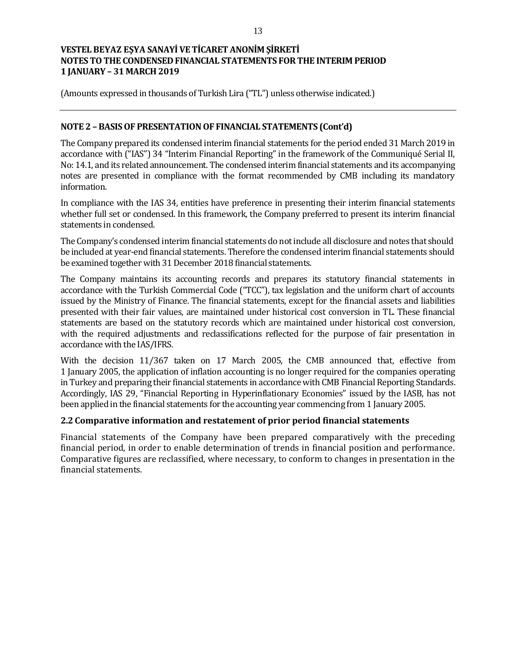(Amounts expressed in thousands of Turkish Lira ("TL") unless otherwise indicated.)

### **NOTE 2 – BASIS OF PRESENTATION OF FINANCIAL STATEMENTS (Cont'd)**

The Company prepared its condensed interim financial statements for the period ended 31 March 2019 in accordance with ("IAS") 34 "Interim Financial Reporting" in the framework of the Communiqué Serial II, No: 14.1, and its related announcement. The condensed interim financial statements and its accompanying notes are presented in compliance with the format recommended by CMB including its mandatory information.

In compliance with the IAS 34, entities have preference in presenting their interim financial statements whether full set or condensed. In this framework, the Company preferred to present its interim financial statements in condensed.

The Company's condensed interim financial statements do not include all disclosure and notes that should be included at year-end financial statements. Therefore the condensed interim financial statements should be examined together with 31 December 2018 financial statements.

The Company maintains its accounting records and prepares its statutory financial statements in accordance with the Turkish Commercial Code ("TCC"), tax legislation and the uniform chart of accounts issued by the Ministry of Finance. The financial statements, except for the financial assets and liabilities presented with their fair values, are maintained under historical cost conversion in TL. These financial statements are based on the statutory records which are maintained under historical cost conversion, with the required adjustments and reclassifications reflected for the purpose of fair presentation in accordance with the IAS/IFRS.

With the decision 11/367 taken on 17 March 2005, the CMB announced that, effective from 1 January 2005, the application of inflation accounting is no longer required for the companies operating in Turkey and preparing their financial statements in accordance with CMB Financial Reporting Standards. Accordingly, IAS 29, "Financial Reporting in Hyperinflationary Economies" issued by the IASB, has not been applied in the financial statements for the accounting year commencing from 1 January 2005.

#### **2.2 Comparative information and restatement of prior period financial statements**

Financial statements of the Company have been prepared comparatively with the preceding financial period, in order to enable determination of trends in financial position and performance. Comparative figures are reclassified, where necessary, to conform to changes in presentation in the financial statements.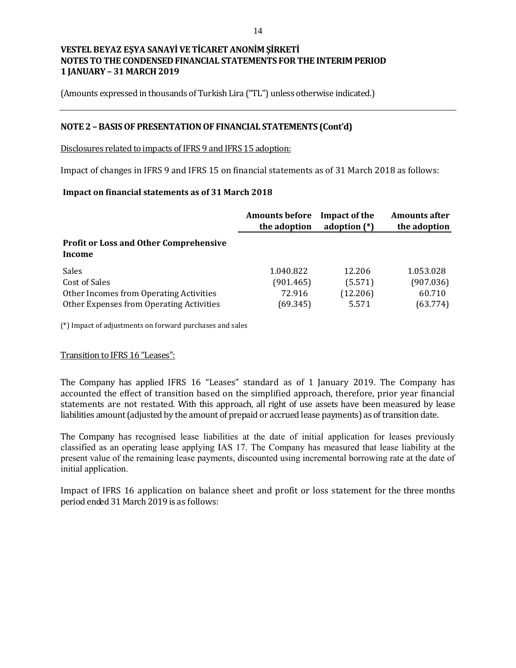(Amounts expressed in thousands of Turkish Lira ("TL") unless otherwise indicated.)

#### **NOTE 2 – BASIS OF PRESENTATION OF FINANCIAL STATEMENTS (Cont'd)**

Disclosures related to impacts of IFRS 9 and IFRS 15 adoption:

Impact of changes in IFRS 9 and IFRS 15 on financial statements as of 31 March 2018 as follows:

#### **Impact on financial statements as of 31 March 2018**

|                                                         | <b>Amounts before</b><br>the adoption | Impact of the<br>adoption $(*)$ | <b>Amounts after</b><br>the adoption |
|---------------------------------------------------------|---------------------------------------|---------------------------------|--------------------------------------|
| <b>Profit or Loss and Other Comprehensive</b><br>Income |                                       |                                 |                                      |
| <b>Sales</b>                                            | 1.040.822                             | 12.206                          | 1.053.028                            |
| Cost of Sales                                           | (901.465)                             | (5.571)                         | (907.036)                            |
| Other Incomes from Operating Activities                 | 72.916                                | (12.206)                        | 60.710                               |
| Other Expenses from Operating Activities                | (69.345)                              | 5.571                           | (63.774)                             |

(\*) Impact of adjustments on forward purchases and sales

#### Transition to IFRS 16 "Leases":

The Company has applied IFRS 16 "Leases" standard as of 1 January 2019. The Company has accounted the effect of transition based on the simplified approach, therefore, prior year financial statements are not restated. With this approach, all right of use assets have been measured by lease liabilities amount (adjusted by the amount of prepaid or accrued lease payments) as of transition date.

The Company has recognised lease liabilities at the date of initial application for leases previously classified as an operating lease applying IAS 17. The Company has measured that lease liability at the present value of the remaining lease payments, discounted using incremental borrowing rate at the date of initial application.

Impact of IFRS 16 application on balance sheet and profit or loss statement for the three months period ended 31 March 2019 is as follows: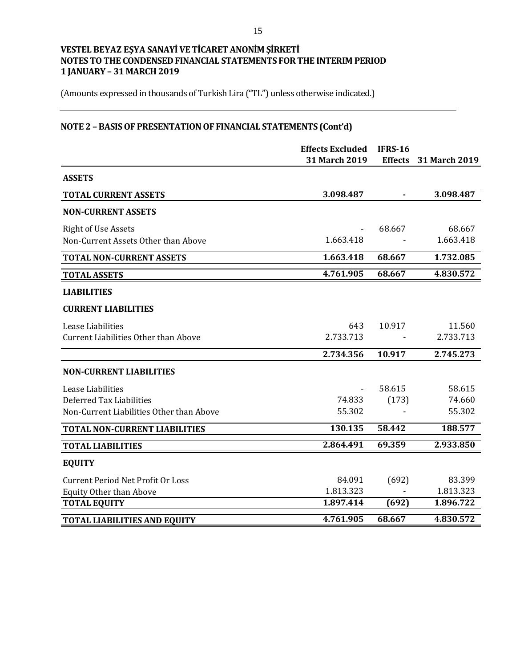(Amounts expressed in thousands of Turkish Lira ("TL") unless otherwise indicated.)

# **NOTE 2 – BASIS OF PRESENTATION OF FINANCIAL STATEMENTS (Cont'd)**

|                                             | <b>Effects Excluded</b> | <b>IFRS-16</b> |               |
|---------------------------------------------|-------------------------|----------------|---------------|
|                                             | 31 March 2019           | <b>Effects</b> | 31 March 2019 |
| <b>ASSETS</b>                               |                         |                |               |
| <b>TOTAL CURRENT ASSETS</b>                 | 3.098.487               |                | 3.098.487     |
| <b>NON-CURRENT ASSETS</b>                   |                         |                |               |
| <b>Right of Use Assets</b>                  |                         | 68.667         | 68.667        |
| Non-Current Assets Other than Above         | 1.663.418               |                | 1.663.418     |
| <b>TOTAL NON-CURRENT ASSETS</b>             | 1.663.418               | 68.667         | 1.732.085     |
| <b>TOTAL ASSETS</b>                         | 4.761.905               | 68.667         | 4.830.572     |
| <b>LIABILITIES</b>                          |                         |                |               |
| <b>CURRENT LIABILITIES</b>                  |                         |                |               |
| Lease Liabilities                           | 643                     | 10.917         | 11.560        |
| <b>Current Liabilities Other than Above</b> | 2.733.713               |                | 2.733.713     |
|                                             | 2.734.356               | 10.917         | 2.745.273     |
| <b>NON-CURRENT LIABILITIES</b>              |                         |                |               |
| Lease Liabilities                           |                         | 58.615         | 58.615        |
| Deferred Tax Liabilities                    | 74.833                  | (173)          | 74.660        |
| Non-Current Liabilities Other than Above    | 55.302                  |                | 55.302        |
| <b>TOTAL NON-CURRENT LIABILITIES</b>        | 130.135                 | 58.442         | 188.577       |
| <b>TOTAL LIABILITIES</b>                    | 2.864.491               | 69.359         | 2.933.850     |
| <b>EQUITY</b>                               |                         |                |               |
| <b>Current Period Net Profit Or Loss</b>    | 84.091                  | (692)          | 83.399        |
| <b>Equity Other than Above</b>              | 1.813.323               |                | 1.813.323     |
| <b>TOTAL EQUITY</b>                         | 1.897.414               | (692)          | 1.896.722     |
| <b>TOTAL LIABILITIES AND EQUITY</b>         | 4.761.905               | 68.667         | 4.830.572     |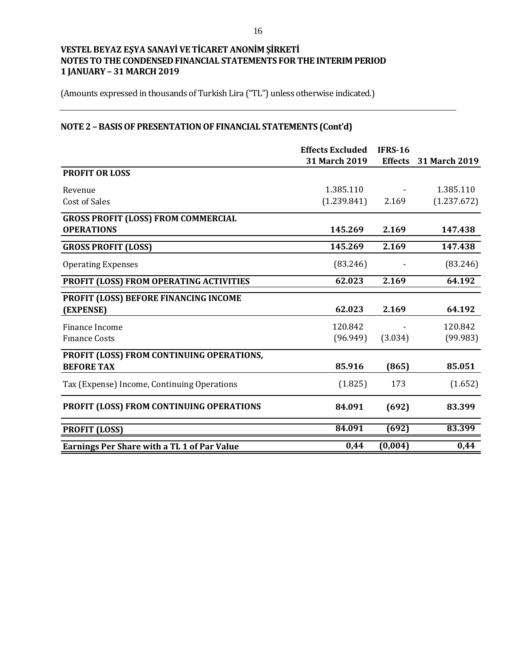(Amounts expressed in thousands of Turkish Lira ("TL") unless otherwise indicated.)

# **NOTE 2 – BASIS OF PRESENTATION OF FINANCIAL STATEMENTS (Cont'd)**

|                                                    | <b>Effects Excluded</b> | <b>IFRS-16</b> |                      |
|----------------------------------------------------|-------------------------|----------------|----------------------|
|                                                    | 31 March 2019           | <b>Effects</b> | <b>31 March 2019</b> |
| <b>PROFIT OR LOSS</b>                              |                         |                |                      |
| Revenue                                            | 1.385.110               |                | 1.385.110            |
| <b>Cost of Sales</b>                               | (1.239.841)             | 2.169          | (1.237.672)          |
| <b>GROSS PROFIT (LOSS) FROM COMMERCIAL</b>         |                         |                |                      |
| <b>OPERATIONS</b>                                  | 145.269                 | 2.169          | 147.438              |
| <b>GROSS PROFIT (LOSS)</b>                         | 145.269                 | 2.169          | 147.438              |
| <b>Operating Expenses</b>                          | (83.246)                |                | (83.246)             |
| PROFIT (LOSS) FROM OPERATING ACTIVITIES            | 62.023                  | 2.169          | 64.192               |
| PROFIT (LOSS) BEFORE FINANCING INCOME              |                         |                |                      |
| (EXPENSE)                                          | 62.023                  | 2.169          | 64.192               |
| Finance Income                                     | 120.842                 |                | 120.842              |
| <b>Finance Costs</b>                               | (96.949)                | (3.034)        | (99.983)             |
| PROFIT (LOSS) FROM CONTINUING OPERATIONS,          |                         |                |                      |
| <b>BEFORE TAX</b>                                  | 85.916                  | (865)          | 85.051               |
| Tax (Expense) Income, Continuing Operations        | (1.825)                 | 173            | (1.652)              |
| PROFIT (LOSS) FROM CONTINUING OPERATIONS           | 84.091                  | (692)          | 83.399               |
| <b>PROFIT (LOSS)</b>                               | 84.091                  | (692)          | 83.399               |
| <b>Earnings Per Share with a TL 1 of Par Value</b> | 0,44                    | (0,004)        | 0,44                 |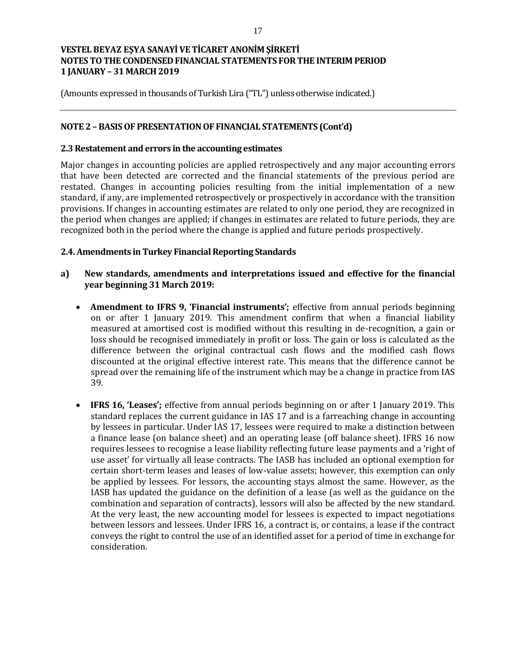(Amounts expressed in thousands of Turkish Lira ("TL") unless otherwise indicated.)

### **NOTE 2 – BASIS OF PRESENTATION OF FINANCIAL STATEMENTS (Cont'd)**

#### **2.3 Restatement and errors in the accounting estimates**

Major changes in accounting policies are applied retrospectively and any major accounting errors that have been detected are corrected and the financial statements of the previous period are restated. Changes in accounting policies resulting from the initial implementation of a new standard, if any, are implemented retrospectively or prospectively in accordance with the transition provisions. If changes in accounting estimates are related to only one period, they are recognized in the period when changes are applied; if changes in estimates are related to future periods, they are recognized both in the period where the change is applied and future periods prospectively.

#### **2.4. Amendments in Turkey Financial Reporting Standards**

- **a) New standards, amendments and interpretations issued and effective for the financial year beginning 31 March 2019:**
	- **Amendment to IFRS 9, 'Financial instruments';** effective from annual periods beginning on or after 1 January 2019. This amendment confirm that when a financial liability measured at amortised cost is modified without this resulting in de-recognition, a gain or loss should be recognised immediately in profit or loss. The gain or loss is calculated as the difference between the original contractual cash flows and the modified cash flows discounted at the original effective interest rate. This means that the difference cannot be spread over the remaining life of the instrument which may be a change in practice from IAS 39.
	- **IFRS 16, 'Leases';** effective from annual periods beginning on or after 1 January 2019. This standard replaces the current guidance in IAS 17 and is a farreaching change in accounting by lessees in particular. Under IAS 17, lessees were required to make a distinction between a finance lease (on balance sheet) and an operating lease (off balance sheet). IFRS 16 now requires lessees to recognise a lease liability reflecting future lease payments and a 'right of use asset' for virtually all lease contracts. The IASB has included an optional exemption for certain short-term leases and leases of low-value assets; however, this exemption can only be applied by lessees. For lessors, the accounting stays almost the same. However, as the IASB has updated the guidance on the definition of a lease (as well as the guidance on the combination and separation of contracts), lessors will also be affected by the new standard. At the very least, the new accounting model for lessees is expected to impact negotiations between lessors and lessees. Under IFRS 16, a contract is, or contains, a lease if the contract conveys the right to control the use of an identified asset for a period of time in exchange for consideration.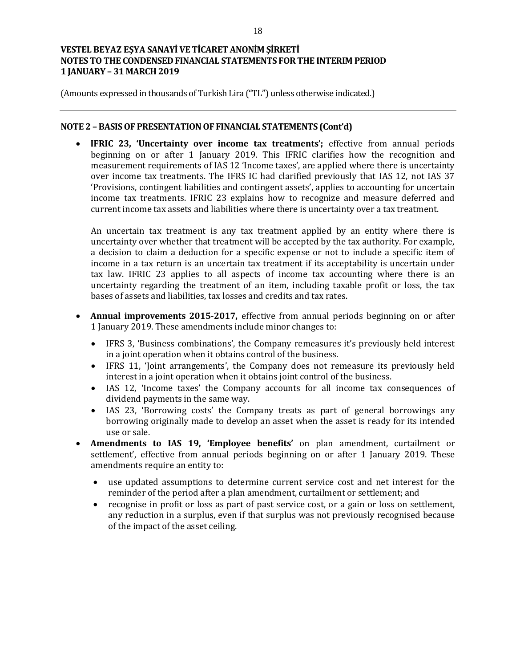(Amounts expressed in thousands of Turkish Lira ("TL") unless otherwise indicated.)

#### **NOTE 2 – BASIS OF PRESENTATION OF FINANCIAL STATEMENTS (Cont'd)**

 **IFRIC 23, 'Uncertainty over income tax treatments';** effective from annual periods beginning on or after 1 January 2019. This IFRIC clarifies how the recognition and measurement requirements of IAS 12 'Income taxes', are applied where there is uncertainty over income tax treatments. The IFRS IC had clarified previously that IAS 12, not IAS 37 'Provisions, contingent liabilities and contingent assets', applies to accounting for uncertain income tax treatments. IFRIC 23 explains how to recognize and measure deferred and current income tax assets and liabilities where there is uncertainty over a tax treatment.

An uncertain tax treatment is any tax treatment applied by an entity where there is uncertainty over whether that treatment will be accepted by the tax authority. For example, a decision to claim a deduction for a specific expense or not to include a specific item of income in a tax return is an uncertain tax treatment if its acceptability is uncertain under tax law. IFRIC 23 applies to all aspects of income tax accounting where there is an uncertainty regarding the treatment of an item, including taxable profit or loss, the tax bases of assets and liabilities, tax losses and credits and tax rates.

- **Annual improvements 2015-2017,** effective from annual periods beginning on or after 1 January 2019. These amendments include minor changes to:
	- IFRS 3, 'Business combinations', the Company remeasures it's previously held interest in a joint operation when it obtains control of the business.
	- IFRS 11, 'Joint arrangements', the Company does not remeasure its previously held interest in a joint operation when it obtains joint control of the business.
	- IAS 12, 'Income taxes' the Company accounts for all income tax consequences of dividend payments in the same way.
	- IAS 23, 'Borrowing costs' the Company treats as part of general borrowings any borrowing originally made to develop an asset when the asset is ready for its intended use or sale.
- **Amendments to IAS 19, 'Employee benefits'** on plan amendment, curtailment or settlement', effective from annual periods beginning on or after 1 January 2019. These amendments require an entity to:
	- use updated assumptions to determine current service cost and net interest for the reminder of the period after a plan amendment, curtailment or settlement; and
	- recognise in profit or loss as part of past service cost, or a gain or loss on settlement, any reduction in a surplus, even if that surplus was not previously recognised because of the impact of the asset ceiling.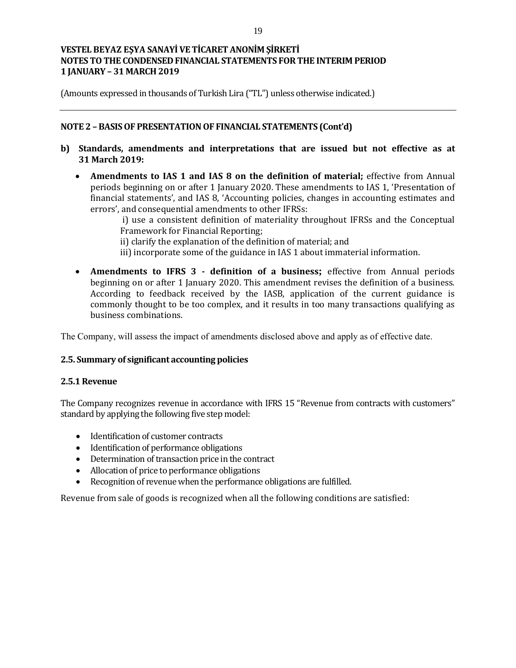(Amounts expressed in thousands of Turkish Lira ("TL") unless otherwise indicated.)

## **NOTE 2 – BASIS OF PRESENTATION OF FINANCIAL STATEMENTS (Cont'd)**

- **b) Standards, amendments and interpretations that are issued but not effective as at 31 March 2019:**
	- Amendments to IAS 1 and IAS 8 on the definition of material; effective from Annual periods beginning on or after 1 January 2020. These amendments to IAS 1, 'Presentation of financial statements', and IAS 8, 'Accounting policies, changes in accounting estimates and errors', and consequential amendments to other IFRSs:

i) use a consistent definition of materiality throughout IFRSs and the Conceptual Framework for Financial Reporting;

ii) clarify the explanation of the definition of material; and

- iii) incorporate some of the guidance in IAS 1 about immaterial information.
- **Amendments to IFRS 3 - definition of a business;** effective from Annual periods beginning on or after 1 January 2020. This amendment revises the definition of a business. According to feedback received by the IASB, application of the current guidance is commonly thought to be too complex, and it results in too many transactions qualifying as business combinations.

The Company, will assess the impact of amendments disclosed above and apply as of effective date.

## **2.5. Summary of significant accounting policies**

#### **2.5.1 Revenue**

The Company recognizes revenue in accordance with IFRS 15 "Revenue from contracts with customers" standard by applying the following five step model:

- Identification of customer contracts
- Identification of performance obligations
- Determination of transaction price in the contract
- Allocation of price to performance obligations
- Recognition of revenue when the performance obligations are fulfilled.

Revenue from sale of goods is recognized when all the following conditions are satisfied: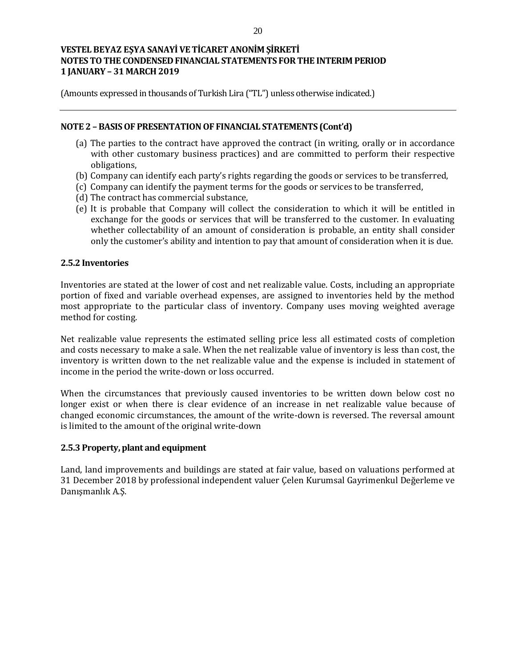(Amounts expressed in thousands of Turkish Lira ("TL") unless otherwise indicated.)

### **NOTE 2 – BASIS OF PRESENTATION OF FINANCIAL STATEMENTS (Cont'd)**

- (a) The parties to the contract have approved the contract (in writing, orally or in accordance with other customary business practices) and are committed to perform their respective obligations,
- (b) Company can identify each party's rights regarding the goods or services to be transferred,
- (c) Company can identify the payment terms for the goods or services to be transferred,
- (d) The contract has commercial substance,
- (e) It is probable that Company will collect the consideration to which it will be entitled in exchange for the goods or services that will be transferred to the customer. In evaluating whether collectability of an amount of consideration is probable, an entity shall consider only the customer's ability and intention to pay that amount of consideration when it is due.

## **2.5.2 Inventories**

Inventories are stated at the lower of cost and net realizable value. Costs, including an appropriate portion of fixed and variable overhead expenses, are assigned to inventories held by the method most appropriate to the particular class of inventory. Company uses moving weighted average method for costing.

Net realizable value represents the estimated selling price less all estimated costs of completion and costs necessary to make a sale. When the net realizable value of inventory is less than cost, the inventory is written down to the net realizable value and the expense is included in statement of income in the period the write-down or loss occurred.

When the circumstances that previously caused inventories to be written down below cost no longer exist or when there is clear evidence of an increase in net realizable value because of changed economic circumstances, the amount of the write-down is reversed. The reversal amount is limited to the amount of the original write-down

#### **2.5.3 Property, plant and equipment**

Land, land improvements and buildings are stated at fair value, based on valuations performed at 31 December 2018 by professional independent valuer Çelen Kurumsal Gayrimenkul Değerleme ve Danışmanlık A.Ş.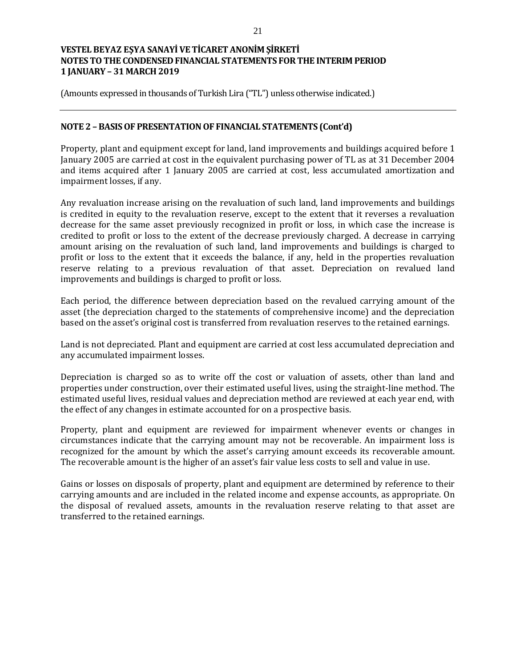(Amounts expressed in thousands of Turkish Lira ("TL") unless otherwise indicated.)

### **NOTE 2 – BASIS OF PRESENTATION OF FINANCIAL STATEMENTS (Cont'd)**

Property, plant and equipment except for land, land improvements and buildings acquired before 1 January 2005 are carried at cost in the equivalent purchasing power of TL as at 31 December 2004 and items acquired after 1 January 2005 are carried at cost, less accumulated amortization and impairment losses, if any.

Any revaluation increase arising on the revaluation of such land, land improvements and buildings is credited in equity to the revaluation reserve, except to the extent that it reverses a revaluation decrease for the same asset previously recognized in profit or loss, in which case the increase is credited to profit or loss to the extent of the decrease previously charged. A decrease in carrying amount arising on the revaluation of such land, land improvements and buildings is charged to profit or loss to the extent that it exceeds the balance, if any, held in the properties revaluation reserve relating to a previous revaluation of that asset. Depreciation on revalued land improvements and buildings is charged to profit or loss.

Each period, the difference between depreciation based on the revalued carrying amount of the asset (the depreciation charged to the statements of comprehensive income) and the depreciation based on the asset's original cost is transferred from revaluation reserves to the retained earnings.

Land is not depreciated. Plant and equipment are carried at cost less accumulated depreciation and any accumulated impairment losses.

Depreciation is charged so as to write off the cost or valuation of assets, other than land and properties under construction, over their estimated useful lives, using the straight-line method. The estimated useful lives, residual values and depreciation method are reviewed at each year end, with the effect of any changes in estimate accounted for on a prospective basis.

Property, plant and equipment are reviewed for impairment whenever events or changes in circumstances indicate that the carrying amount may not be recoverable. An impairment loss is recognized for the amount by which the asset's carrying amount exceeds its recoverable amount. The recoverable amount is the higher of an asset's fair value less costs to sell and value in use.

Gains or losses on disposals of property, plant and equipment are determined by reference to their carrying amounts and are included in the related income and expense accounts, as appropriate. On the disposal of revalued assets, amounts in the revaluation reserve relating to that asset are transferred to the retained earnings.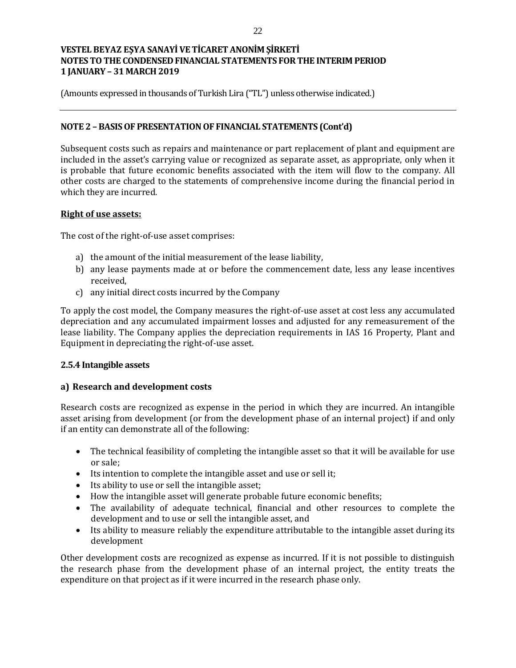(Amounts expressed in thousands of Turkish Lira ("TL") unless otherwise indicated.)

## **NOTE 2 – BASIS OF PRESENTATION OF FINANCIAL STATEMENTS (Cont'd)**

Subsequent costs such as repairs and maintenance or part replacement of plant and equipment are included in the asset's carrying value or recognized as separate asset, as appropriate, only when it is probable that future economic benefits associated with the item will flow to the company. All other costs are charged to the statements of comprehensive income during the financial period in which they are incurred.

#### **Right of use assets:**

The cost of the right-of-use asset comprises:

- a) the amount of the initial measurement of the lease liability,
- b) any lease payments made at or before the commencement date, less any lease incentives received,
- c) any initial direct costs incurred by the Company

To apply the cost model, the Company measures the right-of-use asset at cost less any accumulated depreciation and any accumulated impairment losses and adjusted for any remeasurement of the lease liability. The Company applies the depreciation requirements in IAS 16 Property, Plant and Equipment in depreciating the right-of-use asset.

#### **2.5.4 Intangible assets**

## **a) Research and development costs**

Research costs are recognized as expense in the period in which they are incurred. An intangible asset arising from development (or from the development phase of an internal project) if and only if an entity can demonstrate all of the following:

- The technical feasibility of completing the intangible asset so that it will be available for use or sale;
- Its intention to complete the intangible asset and use or sell it;
- Its ability to use or sell the intangible asset;
- How the intangible asset will generate probable future economic benefits;
- The availability of adequate technical, financial and other resources to complete the development and to use or sell the intangible asset, and
- Its ability to measure reliably the expenditure attributable to the intangible asset during its development

Other development costs are recognized as expense as incurred. If it is not possible to distinguish the research phase from the development phase of an internal project, the entity treats the expenditure on that project as if it were incurred in the research phase only.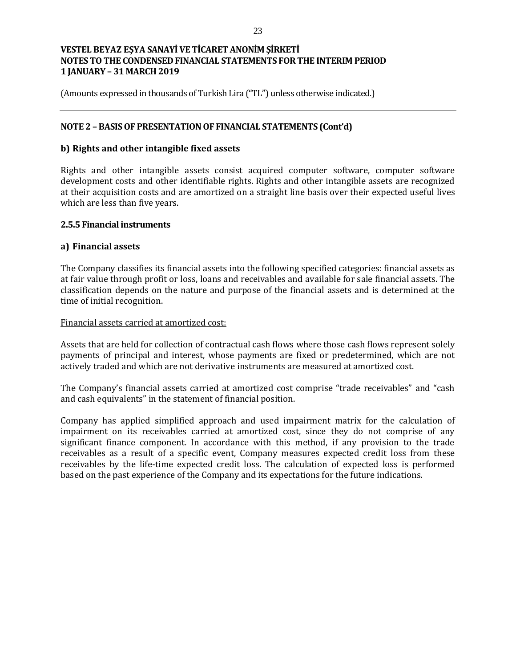(Amounts expressed in thousands of Turkish Lira ("TL") unless otherwise indicated.)

## **NOTE 2 – BASIS OF PRESENTATION OF FINANCIAL STATEMENTS (Cont'd)**

### **b) Rights and other intangible fixed assets**

Rights and other intangible assets consist acquired computer software, computer software development costs and other identifiable rights. Rights and other intangible assets are recognized at their acquisition costs and are amortized on a straight line basis over their expected useful lives which are less than five years.

#### **2.5.5 Financial instruments**

#### **a) Financial assets**

The Company classifies its financial assets into the following specified categories: financial assets as at fair value through profit or loss, loans and receivables and available for sale financial assets. The classification depends on the nature and purpose of the financial assets and is determined at the time of initial recognition.

#### Financial assets carried at amortized cost:

Assets that are held for collection of contractual cash flows where those cash flows represent solely payments of principal and interest, whose payments are fixed or predetermined, which are not actively traded and which are not derivative instruments are measured at amortized cost.

The Company's financial assets carried at amortized cost comprise "trade receivables" and "cash and cash equivalents" in the statement of financial position.

Company has applied simplified approach and used impairment matrix for the calculation of impairment on its receivables carried at amortized cost, since they do not comprise of any significant finance component. In accordance with this method, if any provision to the trade receivables as a result of a specific event, Company measures expected credit loss from these receivables by the life-time expected credit loss. The calculation of expected loss is performed based on the past experience of the Company and its expectations for the future indications.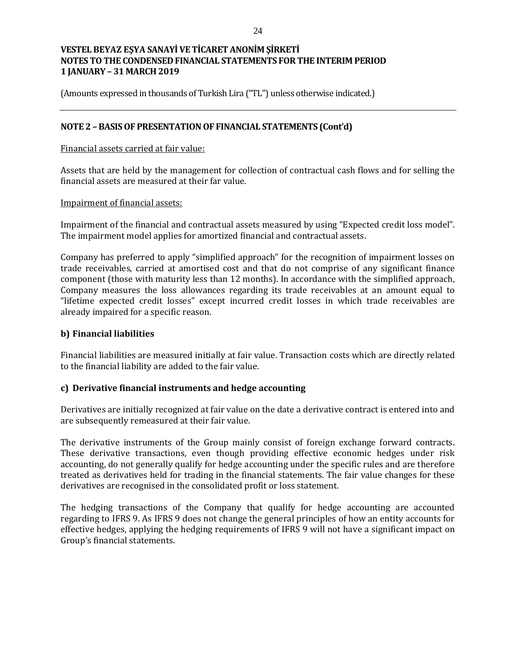(Amounts expressed in thousands of Turkish Lira ("TL") unless otherwise indicated.)

### **NOTE 2 – BASIS OF PRESENTATION OF FINANCIAL STATEMENTS (Cont'd)**

#### Financial assets carried at fair value:

Assets that are held by the management for collection of contractual cash flows and for selling the financial assets are measured at their far value.

#### Impairment of financial assets:

Impairment of the financial and contractual assets measured by using "Expected credit loss model". The impairment model applies for amortized financial and contractual assets.

Company has preferred to apply "simplified approach" for the recognition of impairment losses on trade receivables, carried at amortised cost and that do not comprise of any significant finance component (those with maturity less than 12 months). In accordance with the simplified approach, Company measures the loss allowances regarding its trade receivables at an amount equal to "lifetime expected credit losses" except incurred credit losses in which trade receivables are already impaired for a specific reason.

#### **b) Financial liabilities**

Financial liabilities are measured initially at fair value. Transaction costs which are directly related to the financial liability are added to the fair value.

#### **c) Derivative financial instruments and hedge accounting**

Derivatives are initially recognized at fair value on the date a derivative contract is entered into and are subsequently remeasured at their fair value.

The derivative instruments of the Group mainly consist of foreign exchange forward contracts. These derivative transactions, even though providing effective economic hedges under risk accounting, do not generally qualify for hedge accounting under the specific rules and are therefore treated as derivatives held for trading in the financial statements. The fair value changes for these derivatives are recognised in the consolidated profit or loss statement.

The hedging transactions of the Company that qualify for hedge accounting are accounted regarding to IFRS 9. As IFRS 9 does not change the general principles of how an entity accounts for effective hedges, applying the hedging requirements of IFRS 9 will not have a significant impact on Group's financial statements.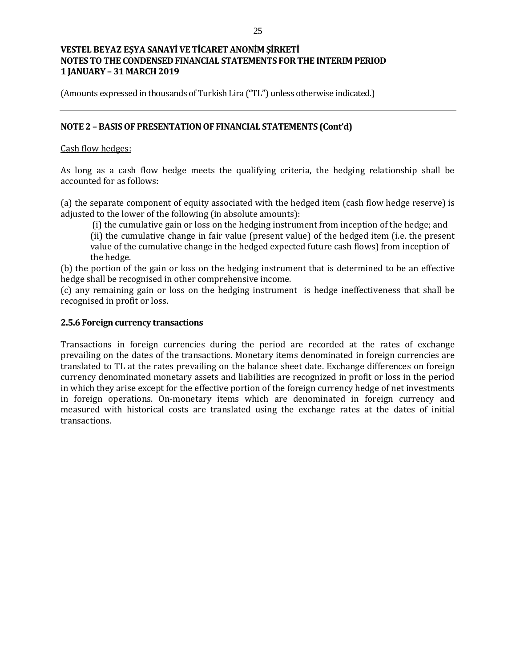(Amounts expressed in thousands of Turkish Lira ("TL") unless otherwise indicated.)

### **NOTE 2 – BASIS OF PRESENTATION OF FINANCIAL STATEMENTS (Cont'd)**

#### Cash flow hedges:

As long as a cash flow hedge meets the qualifying criteria, the hedging relationship shall be accounted for as follows:

(a) the separate component of equity associated with the hedged item (cash flow hedge reserve) is adjusted to the lower of the following (in absolute amounts):

(i) the cumulative gain or loss on the hedging instrument from inception of the hedge; and

(ii) the cumulative change in fair value (present value) of the hedged item (i.e. the present value of the cumulative change in the hedged expected future cash flows) from inception of the hedge.

(b) the portion of the gain or loss on the hedging instrument that is determined to be an effective hedge shall be recognised in other comprehensive income.

(c) any remaining gain or loss on the hedging instrument is hedge ineffectiveness that shall be recognised in profit or loss.

## **2.5.6 Foreign currency transactions**

Transactions in foreign currencies during the period are recorded at the rates of exchange prevailing on the dates of the transactions. Monetary items denominated in foreign currencies are translated to TL at the rates prevailing on the balance sheet date. Exchange differences on foreign currency denominated monetary assets and liabilities are recognized in profit or loss in the period in which they arise except for the effective portion of the foreign currency hedge of net investments in foreign operations. On-monetary items which are denominated in foreign currency and measured with historical costs are translated using the exchange rates at the dates of initial transactions.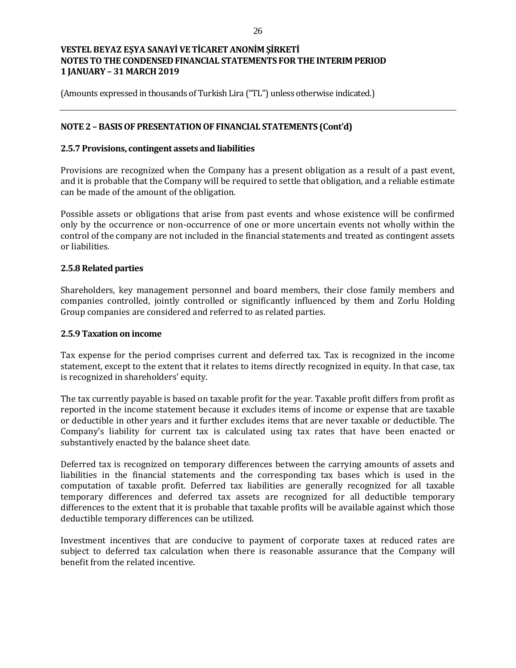(Amounts expressed in thousands of Turkish Lira ("TL") unless otherwise indicated.)

## **NOTE 2 – BASIS OF PRESENTATION OF FINANCIAL STATEMENTS (Cont'd)**

#### **2.5.7 Provisions, contingent assets and liabilities**

Provisions are recognized when the Company has a present obligation as a result of a past event, and it is probable that the Company will be required to settle that obligation, and a reliable estimate can be made of the amount of the obligation.

Possible assets or obligations that arise from past events and whose existence will be confirmed only by the occurrence or non-occurrence of one or more uncertain events not wholly within the control of the company are not included in the financial statements and treated as contingent assets or liabilities.

#### **2.5.8 Related parties**

Shareholders, key management personnel and board members, their close family members and companies controlled, jointly controlled or significantly influenced by them and Zorlu Holding Group companies are considered and referred to as related parties.

#### **2.5.9 Taxation on income**

Tax expense for the period comprises current and deferred tax. Tax is recognized in the income statement, except to the extent that it relates to items directly recognized in equity. In that case, tax is recognized in shareholders' equity.

The tax currently payable is based on taxable profit for the year. Taxable profit differs from profit as reported in the income statement because it excludes items of income or expense that are taxable or deductible in other years and it further excludes items that are never taxable or deductible. The Company's liability for current tax is calculated using tax rates that have been enacted or substantively enacted by the balance sheet date.

Deferred tax is recognized on temporary differences between the carrying amounts of assets and liabilities in the financial statements and the corresponding tax bases which is used in the computation of taxable profit. Deferred tax liabilities are generally recognized for all taxable temporary differences and deferred tax assets are recognized for all deductible temporary differences to the extent that it is probable that taxable profits will be available against which those deductible temporary differences can be utilized.

Investment incentives that are conducive to payment of corporate taxes at reduced rates are subject to deferred tax calculation when there is reasonable assurance that the Company will benefit from the related incentive.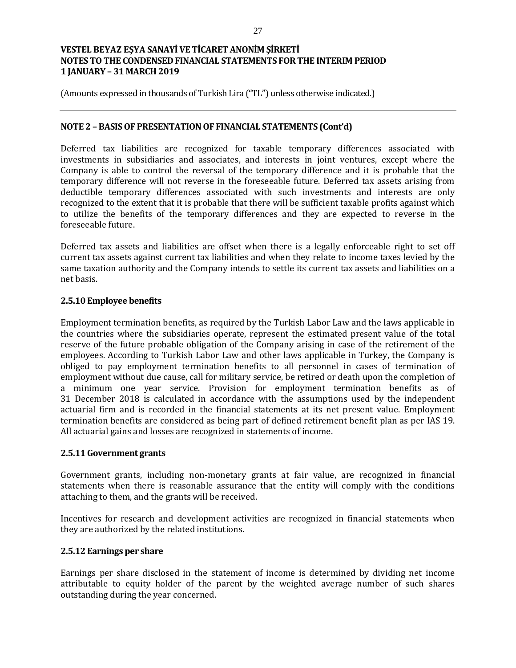(Amounts expressed in thousands of Turkish Lira ("TL") unless otherwise indicated.)

#### **NOTE 2 – BASIS OF PRESENTATION OF FINANCIAL STATEMENTS (Cont'd)**

Deferred tax liabilities are recognized for taxable temporary differences associated with investments in subsidiaries and associates, and interests in joint ventures, except where the Company is able to control the reversal of the temporary difference and it is probable that the temporary difference will not reverse in the foreseeable future. Deferred tax assets arising from deductible temporary differences associated with such investments and interests are only recognized to the extent that it is probable that there will be sufficient taxable profits against which to utilize the benefits of the temporary differences and they are expected to reverse in the foreseeable future.

Deferred tax assets and liabilities are offset when there is a legally enforceable right to set off current tax assets against current tax liabilities and when they relate to income taxes levied by the same taxation authority and the Company intends to settle its current tax assets and liabilities on a net basis.

## **2.5.10 Employee benefits**

Employment termination benefits, as required by the Turkish Labor Law and the laws applicable in the countries where the subsidiaries operate, represent the estimated present value of the total reserve of the future probable obligation of the Company arising in case of the retirement of the employees. According to Turkish Labor Law and other laws applicable in Turkey, the Company is obliged to pay employment termination benefits to all personnel in cases of termination of employment without due cause, call for military service, be retired or death upon the completion of a minimum one year service. Provision for employment termination benefits as of 31 December 2018 is calculated in accordance with the assumptions used by the independent actuarial firm and is recorded in the financial statements at its net present value. Employment termination benefits are considered as being part of defined retirement benefit plan as per IAS 19. All actuarial gains and losses are recognized in statements of income.

#### **2.5.11 Government grants**

Government grants, including non-monetary grants at fair value, are recognized in financial statements when there is reasonable assurance that the entity will comply with the conditions attaching to them, and the grants will be received.

Incentives for research and development activities are recognized in financial statements when they are authorized by the related institutions.

#### **2.5.12 Earnings per share**

Earnings per share disclosed in the statement of income is determined by dividing net income attributable to equity holder of the parent by the weighted average number of such shares outstanding during the year concerned.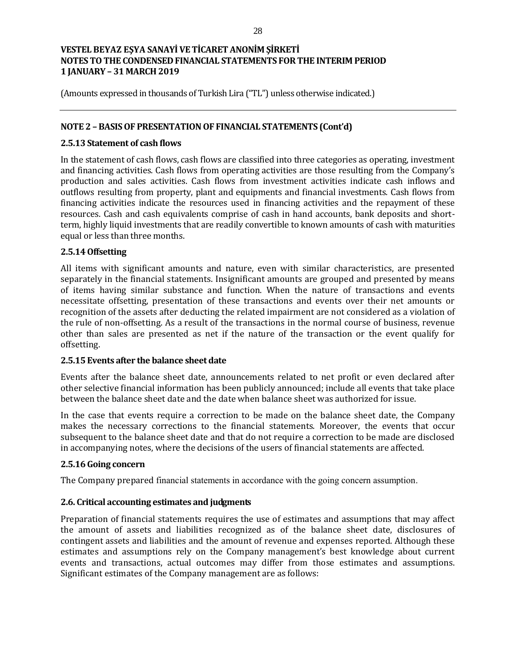(Amounts expressed in thousands of Turkish Lira ("TL") unless otherwise indicated.)

### **NOTE 2 – BASIS OF PRESENTATION OF FINANCIAL STATEMENTS (Cont'd)**

### **2.5.13 Statement of cash flows**

In the statement of cash flows, cash flows are classified into three categories as operating, investment and financing activities. Cash flows from operating activities are those resulting from the Company's production and sales activities. Cash flows from investment activities indicate cash inflows and outflows resulting from property, plant and equipments and financial investments. Cash flows from financing activities indicate the resources used in financing activities and the repayment of these resources. Cash and cash equivalents comprise of cash in hand accounts, bank deposits and shortterm, highly liquid investments that are readily convertible to known amounts of cash with maturities equal or less than three months.

## **2.5.14 Offsetting**

All items with significant amounts and nature, even with similar characteristics, are presented separately in the financial statements. Insignificant amounts are grouped and presented by means of items having similar substance and function. When the nature of transactions and events necessitate offsetting, presentation of these transactions and events over their net amounts or recognition of the assets after deducting the related impairment are not considered as a violation of the rule of non-offsetting. As a result of the transactions in the normal course of business, revenue other than sales are presented as net if the nature of the transaction or the event qualify for offsetting.

#### **2.5.15 Events after the balance sheet date**

Events after the balance sheet date, announcements related to net profit or even declared after other selective financial information has been publicly announced; include all events that take place between the balance sheet date and the date when balance sheet was authorized for issue.

In the case that events require a correction to be made on the balance sheet date, the Company makes the necessary corrections to the financial statements. Moreover, the events that occur subsequent to the balance sheet date and that do not require a correction to be made are disclosed in accompanying notes, where the decisions of the users of financial statements are affected.

## **2.5.16 Going concern**

The Company prepared financial statements in accordance with the going concern assumption.

## **2.6. Critical accounting estimates and judgments**

Preparation of financial statements requires the use of estimates and assumptions that may affect the amount of assets and liabilities recognized as of the balance sheet date, disclosures of contingent assets and liabilities and the amount of revenue and expenses reported. Although these estimates and assumptions rely on the Company management's best knowledge about current events and transactions, actual outcomes may differ from those estimates and assumptions. Significant estimates of the Company management are as follows: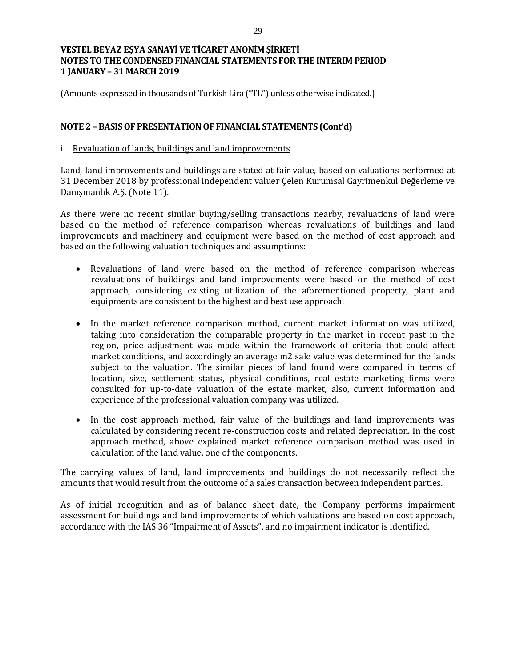(Amounts expressed in thousands of Turkish Lira ("TL") unless otherwise indicated.)

### **NOTE 2 – BASIS OF PRESENTATION OF FINANCIAL STATEMENTS (Cont'd)**

#### i. Revaluation of lands, buildings and land improvements

Land, land improvements and buildings are stated at fair value, based on valuations performed at 31 December 2018 by professional independent valuer Çelen Kurumsal Gayrimenkul Değerleme ve Danışmanlık A.Ş. (Note 11).

As there were no recent similar buying/selling transactions nearby, revaluations of land were based on the method of reference comparison whereas revaluations of buildings and land improvements and machinery and equipment were based on the method of cost approach and based on the following valuation techniques and assumptions:

- Revaluations of land were based on the method of reference comparison whereas revaluations of buildings and land improvements were based on the method of cost approach, considering existing utilization of the aforementioned property, plant and equipments are consistent to the highest and best use approach.
- In the market reference comparison method, current market information was utilized, taking into consideration the comparable property in the market in recent past in the region, price adjustment was made within the framework of criteria that could affect market conditions, and accordingly an average m2 sale value was determined for the lands subject to the valuation. The similar pieces of land found were compared in terms of location, size, settlement status, physical conditions, real estate marketing firms were consulted for up-to-date valuation of the estate market, also, current information and experience of the professional valuation company was utilized.
- In the cost approach method, fair value of the buildings and land improvements was calculated by considering recent re-construction costs and related depreciation. In the cost approach method, above explained market reference comparison method was used in calculation of the land value, one of the components.

The carrying values of land, land improvements and buildings do not necessarily reflect the amounts that would result from the outcome of a sales transaction between independent parties.

As of initial recognition and as of balance sheet date, the Company performs impairment assessment for buildings and land improvements of which valuations are based on cost approach, accordance with the IAS 36 "Impairment of Assets", and no impairment indicator is identified.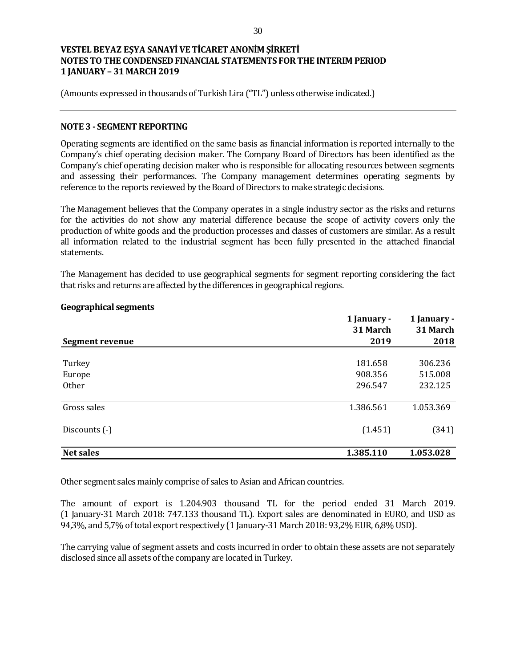(Amounts expressed in thousands of Turkish Lira ("TL") unless otherwise indicated.)

#### **NOTE 3 - SEGMENT REPORTING**

Operating segments are identified on the same basis as financial information is reported internally to the Company's chief operating decision maker. The Company Board of Directors has been identified as the Company's chief operating decision maker who is responsible for allocating resources between segments and assessing their performances. The Company management determines operating segments by reference to the reports reviewed by the Board of Directors to make strategic decisions.

The Management believes that the Company operates in a single industry sector as the risks and returns for the activities do not show any material difference because the scope of activity covers only the production of white goods and the production processes and classes of customers are similar. As a result all information related to the industrial segment has been fully presented in the attached financial statements.

The Management has decided to use geographical segments for segment reporting considering the fact that risks and returns are affected by the differences in geographical regions.

|                        | 1 January -<br>31 March | 1 January -<br>31 March |
|------------------------|-------------------------|-------------------------|
| <b>Segment revenue</b> | 2019                    | 2018                    |
| Turkey                 | 181.658                 | 306.236                 |
| Europe                 | 908.356                 | 515.008                 |
| Other                  | 296.547                 | 232.125                 |
| Gross sales            | 1.386.561               | 1.053.369               |
| Discounts (-)          | (1.451)                 | (341)                   |
| <b>Net sales</b>       | 1.385.110               | 1.053.028               |

#### **Geographical segments**

Other segment sales mainly comprise of sales to Asian and African countries.

The amount of export is 1.204.903 thousand TL for the period ended 31 March 2019. (1 January-31 March 2018: 747.133 thousand TL). Export sales are denominated in EURO, and USD as 94,3%, and 5,7% of total export respectively (1 January-31 March 2018: 93,2% EUR, 6,8% USD).

The carrying value of segment assets and costs incurred in order to obtain these assets are not separately disclosed since all assets of the company are located in Turkey.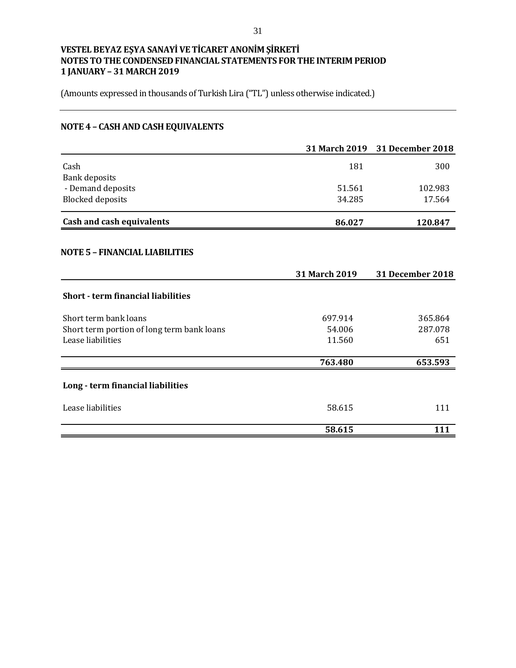(Amounts expressed in thousands of Turkish Lira ("TL") unless otherwise indicated.)

# **NOTE 4 – CASH AND CASH EQUIVALENTS**

|                                              |               | 31 March 2019 31 December 2018 |
|----------------------------------------------|---------------|--------------------------------|
| Cash                                         | 181           | 300                            |
| <b>Bank deposits</b>                         | 51.561        | 102.983                        |
| - Demand deposits<br><b>Blocked deposits</b> | 34.285        | 17.564                         |
|                                              |               |                                |
| <b>Cash and cash equivalents</b>             | 86.027        | 120.847                        |
| <b>NOTE 5 - FINANCIAL LIABILITIES</b>        |               |                                |
|                                              | 31 March 2019 | 31 December 2018               |
| <b>Short - term financial liabilities</b>    |               |                                |
| Short term bank loans                        | 697.914       | 365.864                        |
| Short term portion of long term bank loans   | 54.006        | 287.078                        |
| Lease liabilities                            | 11.560        | 651                            |
|                                              | 763.480       | 653.593                        |
| Long - term financial liabilities            |               |                                |
| Lease liabilities                            | 58.615        | 111                            |
|                                              | 58.615        | 111                            |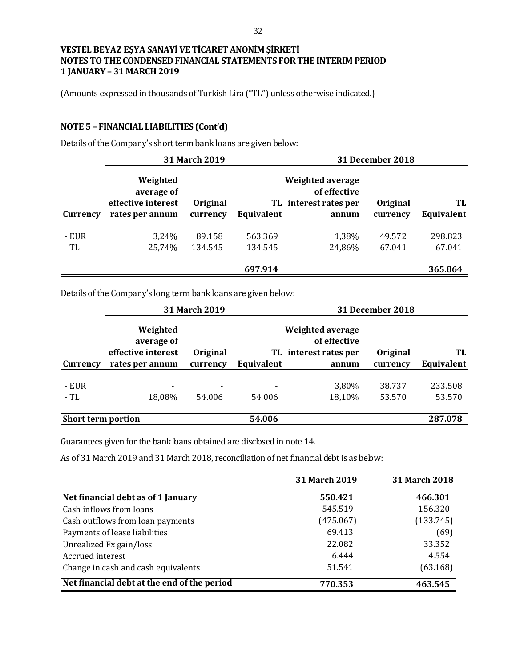(Amounts expressed in thousands of Turkish Lira ("TL") unless otherwise indicated.)

### **NOTE 5 – FINANCIAL LIABILITIES (Cont'd)**

Details of the Company's short term bank loans are given below:

|          | 31 March 2019                                |                      |            | <b>31 December 2018</b>                 |                      |            |  |
|----------|----------------------------------------------|----------------------|------------|-----------------------------------------|----------------------|------------|--|
|          | Weighted<br>average of<br>effective interest |                      |            | <b>Weighted average</b><br>of effective |                      | TL         |  |
| Currency | rates per annum                              | Original<br>currency | Equivalent | TL interest rates per<br>annum          | Original<br>currency | Equivalent |  |
|          |                                              |                      |            |                                         |                      |            |  |
| - EUR    | 3,24%                                        | 89.158               | 563.369    | 1,38%                                   | 49.572               | 298.823    |  |
| - TL     | 25,74%                                       | 134.545              | 134.545    | 24,86%                                  | 67.041               | 67.041     |  |
|          |                                              |                      |            |                                         |                      |            |  |
|          |                                              |                      | 697.914    |                                         |                      | 365.864    |  |

Details of the Company's long term bank loans are given below:

|                           | 31 March 2019                                |                 |            |                                                                  | <b>31 December 2018</b> |            |
|---------------------------|----------------------------------------------|-----------------|------------|------------------------------------------------------------------|-------------------------|------------|
|                           | Weighted<br>average of<br>effective interest | <b>Original</b> |            | <b>Weighted average</b><br>of effective<br>TL interest rates per | Original                | TL         |
| Currency                  | rates per annum                              | currency        | Equivalent | annum                                                            | currency                | Equivalent |
|                           |                                              |                 |            |                                                                  |                         |            |
| - EUR                     | $\overline{\phantom{0}}$                     | -               |            | 3,80%                                                            | 38.737                  | 233.508    |
| $-TL$                     | 18,08%                                       | 54.006          | 54.006     | 18,10%                                                           | 53.570                  | 53.570     |
|                           |                                              |                 |            |                                                                  |                         |            |
| <b>Short term portion</b> |                                              |                 | 54.006     |                                                                  |                         | 287.078    |

Guarantees given for the bank bans obtained are discbsed in note 14.

As of 31 March 2019 and 31 March 2018, reconciliation of net financial debt is as below:

|                                             | 31 March 2019 | 31 March 2018 |
|---------------------------------------------|---------------|---------------|
| Net financial debt as of 1 January          | 550.421       | 466.301       |
| Cash inflows from loans                     | 545.519       | 156.320       |
| Cash outflows from loan payments            | (475.067)     | (133.745)     |
| Payments of lease liabilities               | 69.413        | (69)          |
| Unrealized Fx gain/loss                     | 22.082        | 33.352        |
| Accrued interest                            | 6.444         | 4.554         |
| Change in cash and cash equivalents         | 51.541        | (63.168)      |
| Net financial debt at the end of the period | 770.353       | 463.545       |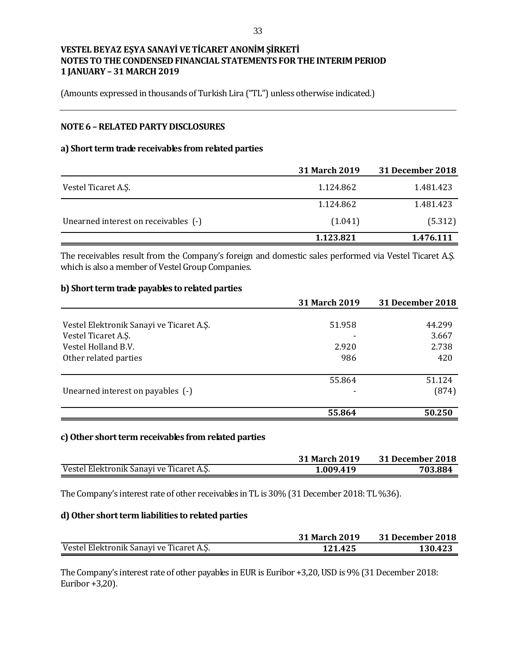(Amounts expressed in thousands of Turkish Lira ("TL") unless otherwise indicated.)

## **NOTE 6 –RELATED PARTY DISCLOSURES**

#### **a) Short term trade receivables from related parties**

|                                      | <b>31 March 2019</b> | <b>31 December 2018</b> |
|--------------------------------------|----------------------|-------------------------|
| Vestel Ticaret A.S.                  | 1.124.862            | 1.481.423               |
|                                      | 1.124.862            | 1.481.423               |
| Unearned interest on receivables (-) | (1.041)              | (5.312)                 |
|                                      | 1.123.821            | 1.476.111               |

The receivables result from the Company's foreign and domestic sales performed via Vestel Ticaret A.Ş. which is also a member of Vestel Group Companies.

#### **b) Short term trade payables to related parties**

|                                          | 31 March 2019 | <b>31 December 2018</b> |
|------------------------------------------|---------------|-------------------------|
|                                          |               |                         |
| Vestel Elektronik Sanayi ve Ticaret A.Ş. | 51.958        | 44.299                  |
| Vestel Ticaret A.S.                      |               | 3.667                   |
| Vestel Holland B.V.                      | 2.920         | 2.738                   |
| Other related parties                    | 986           | 420                     |
|                                          | 55.864        | 51.124                  |
| Unearned interest on payables (-)        |               | (874)                   |
|                                          | 55.864        | 50.250                  |

#### **c)Other short term receivables from related parties**

|                                          | <b>31 March 2019</b> | 31 December 2018 |
|------------------------------------------|----------------------|------------------|
| Vestel Elektronik Sanayi ve Ticaret A.Ş. | 1.009.419            | 703.884          |

The Company's interest rate of other receivables in TL is 30% (31 December 2018: TL %36).

#### **d) Other short term liabilities to related parties**

|                                          | <b>31 March 2019</b> | 31 December 2018 |
|------------------------------------------|----------------------|------------------|
| Vestel Elektronik Sanayi ve Ticaret A.S. | 121.425              | 130.423          |

The Company's interest rate of other payables in EUR is Euribor +3,20, USD is 9% (31 December 2018: Euribor +3,20).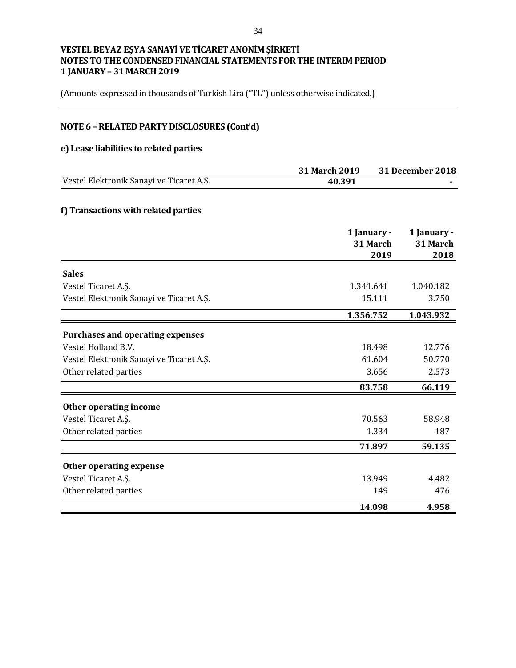(Amounts expressed in thousands of Turkish Lira ("TL") unless otherwise indicated.)

# **NOTE 6 –RELATED PARTY DISCLOSURES (Cont'd)**

## **e) Lease liabilities to related parties**

|                                          | 31 March 2019 |             | <b>31 December 2018</b> |
|------------------------------------------|---------------|-------------|-------------------------|
| Vestel Elektronik Sanayi ve Ticaret A.Ş. | 40.391        |             |                         |
| f) Transactions with related parties     |               |             |                         |
|                                          |               |             |                         |
|                                          |               | 1 January - | 1 January -             |
|                                          |               | 31 March    | 31 March                |
|                                          |               | 2019        | 2018                    |
| <b>Sales</b>                             |               |             |                         |
| Vestel Ticaret A.Ş.                      | 1.341.641     |             | 1.040.182               |
| Vestel Elektronik Sanayi ve Ticaret A.Ş. |               | 15.111      | 3.750                   |
|                                          | 1.356.752     |             | 1.043.932               |
| <b>Purchases and operating expenses</b>  |               |             |                         |
| Vestel Holland B.V.                      |               | 18.498      | 12.776                  |
| Vestel Elektronik Sanayi ve Ticaret A.Ş. |               | 61.604      | 50.770                  |
| Other related parties                    |               | 3.656       | 2.573                   |
|                                          |               | 83.758      | 66.119                  |
| Other operating income                   |               |             |                         |
| Vestel Ticaret A.Ş.                      |               | 70.563      | 58.948                  |
| Other related parties                    |               | 1.334       | 187                     |
|                                          |               | 71.897      | 59.135                  |
| Other operating expense                  |               |             |                         |
| Vestel Ticaret A.S.                      |               | 13.949      | 4.482                   |
| Other related parties                    |               | 149         | 476                     |
|                                          |               | 14.098      | 4.958                   |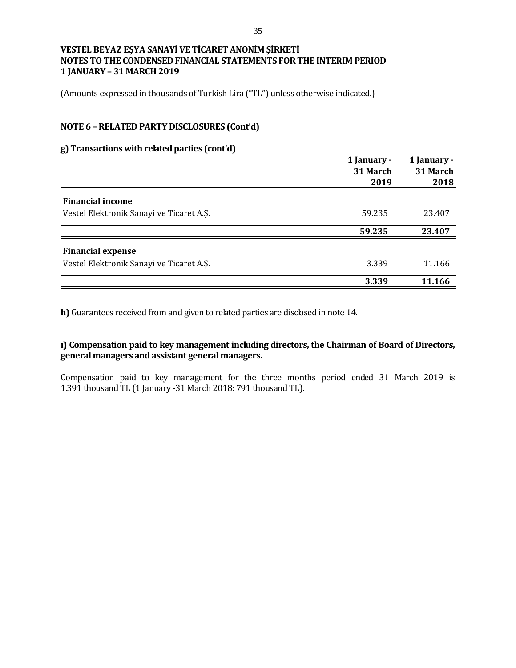(Amounts expressed in thousands of Turkish Lira ("TL") unless otherwise indicated.)

### **NOTE 6 –RELATED PARTY DISCLOSURES (Cont'd)**

#### **g) Transactions with related parties (cont'd)**

|                                          | 1 January -<br>31 March<br>2019 | 1 January -<br>31 March<br>2018 |
|------------------------------------------|---------------------------------|---------------------------------|
| <b>Financial income</b>                  |                                 |                                 |
| Vestel Elektronik Sanayi ve Ticaret A.Ş. | 59.235                          | 23.407                          |
|                                          | 59.235                          | 23.407                          |
| <b>Financial expense</b>                 |                                 |                                 |
| Vestel Elektronik Sanayi ve Ticaret A.Ş. | 3.339                           | 11.166                          |
|                                          | 3.339                           | 11.166                          |

**h)** Guarantees received from and given to related parties are disclosed in note 14.

**ı) Compensation paid to key management including directors, the Chairman of Board of Directors, general managers and assistant general managers.**

Compensation paid to key management for the three months period ended 31 March 2019 is 1.391 thousand TL (1 January -31 March 2018: 791 thousand TL).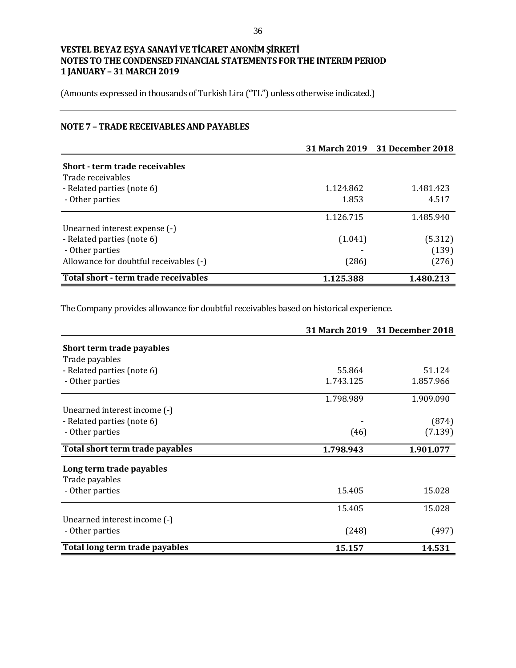(Amounts expressed in thousands of Turkish Lira ("TL") unless otherwise indicated.)

## **NOTE 7 – TRADE RECEIVABLES AND PAYABLES**

|                                        |           | 31 March 2019 31 December 2018 |
|----------------------------------------|-----------|--------------------------------|
| Short - term trade receivables         |           |                                |
| Trade receivables                      |           |                                |
| - Related parties (note 6)             | 1.124.862 | 1.481.423                      |
| - Other parties                        | 1.853     | 4.517                          |
|                                        | 1.126.715 | 1.485.940                      |
| Unearned interest expense (-)          |           |                                |
| - Related parties (note 6)             | (1.041)   | (5.312)                        |
| - Other parties                        |           | (139)                          |
| Allowance for doubtful receivables (-) | (286)     | (276)                          |
| Total short - term trade receivables   | 1.125.388 | 1.480.213                      |

The Company provides allowance for doubtful receivables based on historical experience.

|                                 |           | 31 March 2019 31 December 2018 |
|---------------------------------|-----------|--------------------------------|
| Short term trade payables       |           |                                |
| Trade payables                  |           |                                |
| - Related parties (note 6)      | 55.864    | 51.124                         |
| - Other parties                 | 1.743.125 | 1.857.966                      |
|                                 | 1.798.989 | 1.909.090                      |
| Unearned interest income (-)    |           |                                |
| - Related parties (note 6)      |           | (874)                          |
| - Other parties                 | (46)      | (7.139)                        |
| Total short term trade payables | 1.798.943 | 1.901.077                      |
| Long term trade payables        |           |                                |
| Trade payables                  |           |                                |
| - Other parties                 | 15.405    | 15.028                         |
|                                 | 15.405    | 15.028                         |
| Unearned interest income (-)    |           |                                |
| - Other parties                 | (248)     | (497)                          |
| Total long term trade payables  | 15.157    | 14.531                         |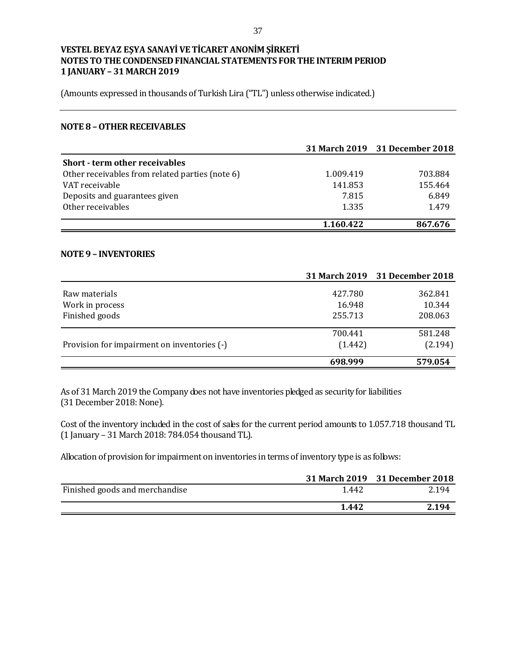(Amounts expressed in thousands of Turkish Lira ("TL") unless otherwise indicated.)

#### **NOTE 8 –OTHER RECEIVABLES**

|                                                 |           | 31 March 2019 31 December 2018 |
|-------------------------------------------------|-----------|--------------------------------|
| <b>Short - term other receivables</b>           |           |                                |
| Other receivables from related parties (note 6) | 1.009.419 | 703.884                        |
| VAT receivable                                  | 141.853   | 155.464                        |
| Deposits and guarantees given                   | 7.815     | 6.849                          |
| Other receivables                               | 1.335     | 1.479                          |
|                                                 | 1.160.422 | 867.676                        |

#### **NOTE 9 – INVENTORIES**

|                                             |         | 31 March 2019 31 December 2018 |
|---------------------------------------------|---------|--------------------------------|
| Raw materials                               | 427.780 | 362.841                        |
| Work in process                             | 16.948  | 10.344                         |
| Finished goods                              | 255.713 | 208.063                        |
|                                             | 700.441 | 581.248                        |
| Provision for impairment on inventories (-) | (1.442) | (2.194)                        |
|                                             | 698.999 | 579.054                        |

As of 31 March 2019 the Company does not have inventories pledged as security for liabilities (31 December 2018: None).

Cost of the inventory included in the cost of sales for the current period amounts to 1.057.718 thousand TL (1 January – 31 March 2018: 784.054 thousand TL).

Allocation of provision for impairment on inventories in terms of inventory type is as follows:

|                                |       | 31 March 2019 31 December 2018 |
|--------------------------------|-------|--------------------------------|
| Finished goods and merchandise | 1.442 | 2.194                          |
|                                | 1.442 | 2.194                          |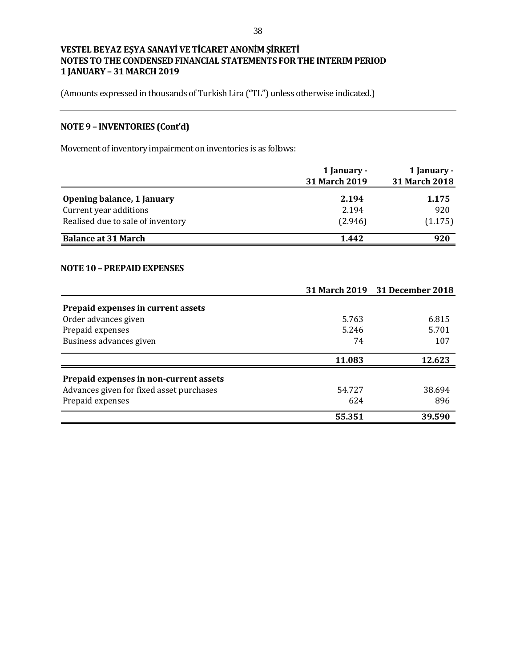(Amounts expressed in thousands of Turkish Lira ("TL") unless otherwise indicated.)

# **NOTE 9 – INVENTORIES (Cont'd)**

Movement of inventory impairment on inventories is as follows:

|                                   | 1 January -          | 1 January -   |  |
|-----------------------------------|----------------------|---------------|--|
|                                   | <b>31 March 2019</b> | 31 March 2018 |  |
| Opening balance, 1 January        | 2.194                | 1.175         |  |
| Current year additions            | 2.194                | 920           |  |
| Realised due to sale of inventory | (2.946)              | (1.175)       |  |
| <b>Balance at 31 March</b>        | 1.442                | 920           |  |

#### **NOTE 10 – PREPAID EXPENSES**

|                                          |        | 31 March 2019 31 December 2018 |
|------------------------------------------|--------|--------------------------------|
| Prepaid expenses in current assets       |        |                                |
| Order advances given                     | 5.763  | 6.815                          |
| Prepaid expenses                         | 5.246  | 5.701                          |
| Business advances given                  | 74     | 107                            |
|                                          | 11.083 | 12.623                         |
| Prepaid expenses in non-current assets   |        |                                |
| Advances given for fixed asset purchases | 54.727 | 38.694                         |
| Prepaid expenses                         | 624    | 896                            |
|                                          | 55.351 | 39.590                         |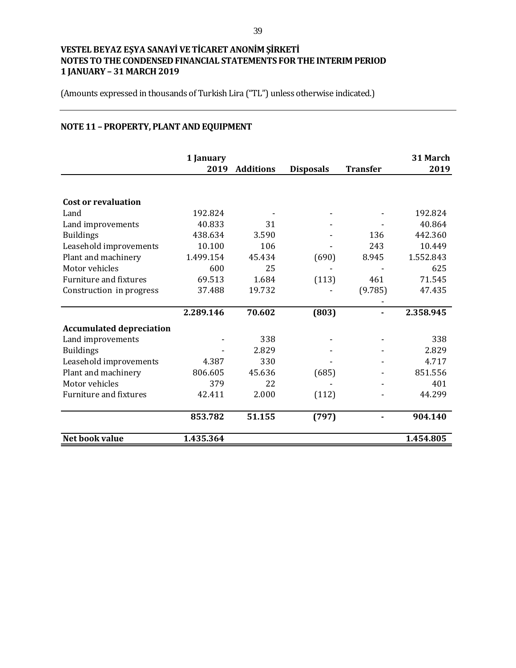(Amounts expressed in thousands of Turkish Lira ("TL") unless otherwise indicated.)

# **NOTE 11 – PROPERTY, PLANT AND EQUIPMENT**

|                                 | 1 January<br>2019 | <b>Additions</b> | <b>Disposals</b> | <b>Transfer</b> | 31 March<br>2019 |
|---------------------------------|-------------------|------------------|------------------|-----------------|------------------|
|                                 |                   |                  |                  |                 |                  |
| <b>Cost or revaluation</b>      |                   |                  |                  |                 |                  |
| Land                            | 192.824           |                  |                  |                 | 192.824          |
| Land improvements               | 40.833            | 31               |                  |                 | 40.864           |
| <b>Buildings</b>                | 438.634           | 3.590            |                  | 136             | 442.360          |
| Leasehold improvements          | 10.100            | 106              |                  | 243             | 10.449           |
| Plant and machinery             | 1.499.154         | 45.434           | (690)            | 8.945           | 1.552.843        |
| Motor vehicles                  | 600               | 25               |                  |                 | 625              |
| <b>Furniture and fixtures</b>   | 69.513            | 1.684            | (113)            | 461             | 71.545           |
| Construction in progress        | 37.488            | 19.732           |                  | (9.785)         | 47.435           |
|                                 |                   |                  |                  |                 |                  |
|                                 | 2.289.146         | 70.602           | (803)            |                 | 2.358.945        |
| <b>Accumulated depreciation</b> |                   |                  |                  |                 |                  |
| Land improvements               |                   | 338              |                  |                 | 338              |
| <b>Buildings</b>                |                   | 2.829            |                  |                 | 2.829            |
| Leasehold improvements          | 4.387             | 330              |                  |                 | 4.717            |
| Plant and machinery             | 806.605           | 45.636           | (685)            |                 | 851.556          |
| Motor vehicles                  | 379               | 22               |                  |                 | 401              |
| <b>Furniture and fixtures</b>   | 42.411            | 2.000            | (112)            |                 | 44.299           |
|                                 | 853.782           | 51.155           | (797)            |                 | 904.140          |
| Net book value                  | 1.435.364         |                  |                  |                 | 1.454.805        |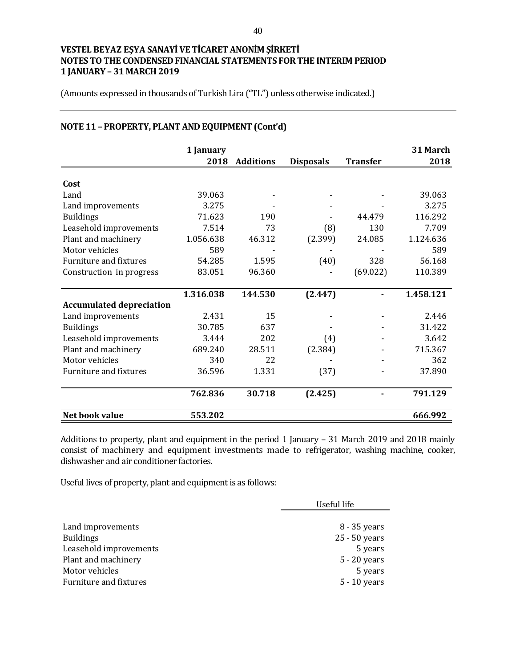(Amounts expressed in thousands of Turkish Lira ("TL") unless otherwise indicated.)

|                                 | 1 January |                  |                  |                 | 31 March  |
|---------------------------------|-----------|------------------|------------------|-----------------|-----------|
|                                 | 2018      | <b>Additions</b> | <b>Disposals</b> | <b>Transfer</b> | 2018      |
| Cost                            |           |                  |                  |                 |           |
| Land                            | 39.063    |                  |                  |                 | 39.063    |
| Land improvements               | 3.275     |                  |                  |                 | 3.275     |
| <b>Buildings</b>                | 71.623    | 190              |                  | 44.479          | 116.292   |
| Leasehold improvements          | 7.514     | 73               | (8)              | 130             | 7.709     |
| Plant and machinery             | 1.056.638 | 46.312           | (2.399)          | 24.085          | 1.124.636 |
| Motor vehicles                  | 589       |                  |                  |                 | 589       |
| <b>Furniture and fixtures</b>   | 54.285    | 1.595            | (40)             | 328             | 56.168    |
| Construction in progress        | 83.051    | 96.360           |                  | (69.022)        | 110.389   |
|                                 |           |                  |                  |                 |           |
|                                 | 1.316.038 | 144.530          | (2.447)          |                 | 1.458.121 |
| <b>Accumulated depreciation</b> |           |                  |                  |                 |           |
| Land improvements               | 2.431     | 15               |                  |                 | 2.446     |
| <b>Buildings</b>                | 30.785    | 637              |                  |                 | 31.422    |
| Leasehold improvements          | 3.444     | 202              | (4)              |                 | 3.642     |
| Plant and machinery             | 689.240   | 28.511           | (2.384)          |                 | 715.367   |
| Motor vehicles                  | 340       | 22               |                  |                 | 362       |
| Furniture and fixtures          | 36.596    | 1.331            | (37)             |                 | 37.890    |
|                                 | 762.836   | 30.718           | (2.425)          |                 | 791.129   |
| Net book value                  | 553.202   |                  |                  |                 | 666.992   |

# **NOTE 11 – PROPERTY, PLANT AND EQUIPMENT (Cont'd)**

Additions to property, plant and equipment in the period 1 January – 31 March 2019 and 2018 mainly consist of machinery and equipment investments made to refrigerator, washing machine, cooker, dishwasher and air conditioner factories.

Useful lives of property, plant and equipment is as follows:

|                        | Useful life    |
|------------------------|----------------|
|                        |                |
| Land improvements      | 8 - 35 years   |
| <b>Buildings</b>       | 25 - 50 years  |
| Leasehold improvements | 5 years        |
| Plant and machinery    | $5 - 20$ years |
| Motor vehicles         | 5 years        |
| Furniture and fixtures | 5 - 10 years   |
|                        |                |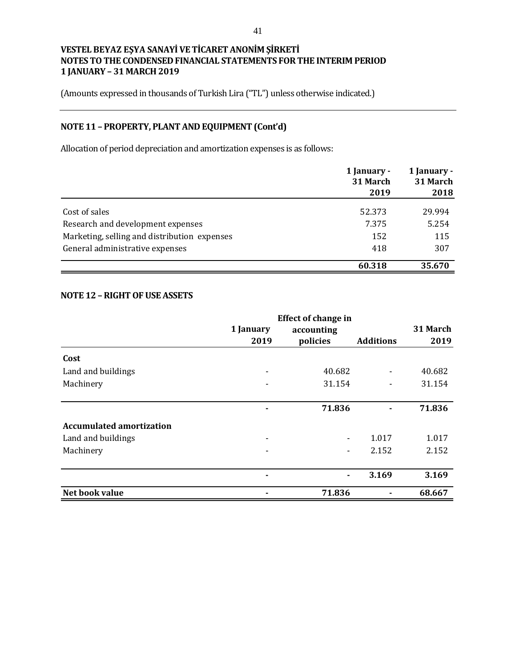(Amounts expressed in thousands of Turkish Lira ("TL") unless otherwise indicated.)

# **NOTE 11 – PROPERTY, PLANT AND EQUIPMENT (Cont'd)**

Allocation of period depreciation and amortization expenses is as follows:

|                                              | 1 January -<br>31 March | 1 January -<br>31 March |  |
|----------------------------------------------|-------------------------|-------------------------|--|
|                                              | 2019                    | 2018                    |  |
| Cost of sales                                | 52.373                  | 29.994                  |  |
| Research and development expenses            | 7.375                   | 5.254                   |  |
| Marketing, selling and distribution expenses | 152                     | 115                     |  |
| General administrative expenses              | 418                     | 307                     |  |
|                                              | 60.318                  | 35.670                  |  |

#### **NOTE 12 –RIGHT OF USE ASSETS**

|                          |                          | <b>Effect of change in</b> |                  |          |
|--------------------------|--------------------------|----------------------------|------------------|----------|
|                          | 1 January                | accounting                 |                  | 31 March |
|                          | 2019                     | policies                   | <b>Additions</b> | 2019     |
| Cost                     |                          |                            |                  |          |
| Land and buildings       | $\blacksquare$           | 40.682                     |                  | 40.682   |
| Machinery                |                          | 31.154                     | Ξ.               | 31.154   |
|                          |                          | 71.836                     |                  | 71.836   |
| Accumulated amortization |                          |                            |                  |          |
| Land and buildings       | $\overline{\phantom{0}}$ | $\blacksquare$             | 1.017            | 1.017    |
| Machinery                |                          |                            | 2.152            | 2.152    |
|                          |                          |                            | 3.169            | 3.169    |
| Net book value           |                          | 71.836                     |                  | 68.667   |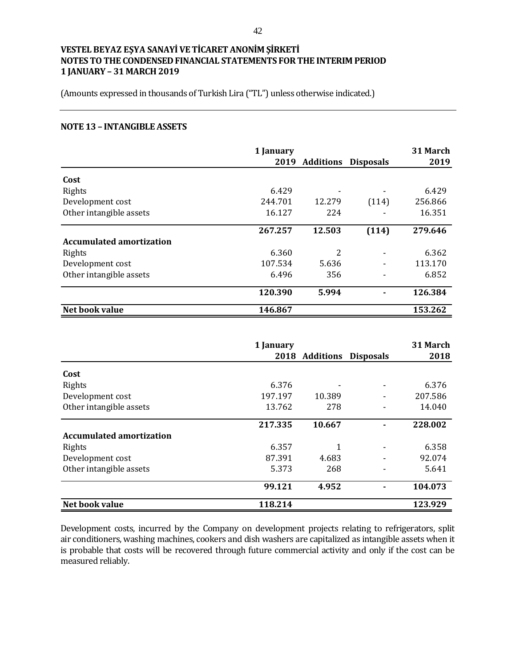(Amounts expressed in thousands of Turkish Lira ("TL") unless otherwise indicated.)

#### **NOTE 13 – INTANGIBLE ASSETS**

|                                 | 1 January |                  |                  | 31 March |
|---------------------------------|-----------|------------------|------------------|----------|
|                                 | 2019      | <b>Additions</b> | <b>Disposals</b> | 2019     |
| Cost                            |           |                  |                  |          |
| Rights                          | 6.429     |                  |                  | 6.429    |
| Development cost                | 244.701   | 12.279           | (114)            | 256.866  |
| Other intangible assets         | 16.127    | 224              |                  | 16.351   |
|                                 | 267.257   | 12.503           | (114)            | 279.646  |
| <b>Accumulated amortization</b> |           |                  |                  |          |
| Rights                          | 6.360     | 2                |                  | 6.362    |
| Development cost                | 107.534   | 5.636            |                  | 113.170  |
| Other intangible assets         | 6.496     | 356              |                  | 6.852    |
|                                 | 120.390   | 5.994            |                  | 126.384  |
| Net book value                  | 146.867   |                  |                  | 153.262  |

|                                 | 1 January |                |                  | 31 March |
|---------------------------------|-----------|----------------|------------------|----------|
|                                 |           | 2018 Additions | <b>Disposals</b> | 2018     |
| Cost                            |           |                |                  |          |
| Rights                          | 6.376     |                |                  | 6.376    |
| Development cost                | 197.197   | 10.389         |                  | 207.586  |
| Other intangible assets         | 13.762    | 278            |                  | 14.040   |
|                                 | 217.335   | 10.667         |                  | 228.002  |
| <b>Accumulated amortization</b> |           |                |                  |          |
| Rights                          | 6.357     | 1              |                  | 6.358    |
| Development cost                | 87.391    | 4.683          |                  | 92.074   |
| Other intangible assets         | 5.373     | 268            |                  | 5.641    |
|                                 | 99.121    | 4.952          |                  | 104.073  |
| Net book value                  | 118.214   |                |                  | 123.929  |

Development costs, incurred by the Company on development projects relating to refrigerators, split air conditioners, washing machines, cookers and dish washers are capitalized as intangible assets when it is probable that costs will be recovered through future commercial activity and only if the cost can be measured reliably.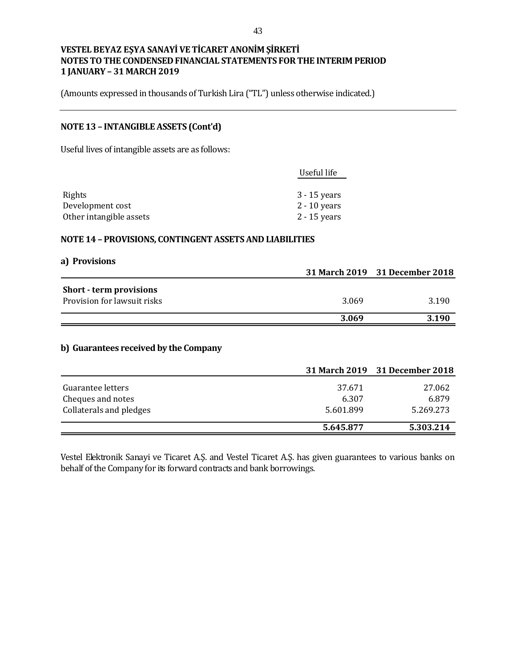(Amounts expressed in thousands of Turkish Lira ("TL") unless otherwise indicated.)

## **NOTE 13 – INTANGIBLE ASSETS (Cont'd)**

Useful lives of intangible assets are as follows:

|                         | Useful life    |
|-------------------------|----------------|
|                         |                |
| Rights                  | $3 - 15$ years |
| Development cost        | $2 - 10$ years |
| Other intangible assets | $2 - 15$ years |

#### **NOTE 14 – PROVISIONS, CONTINGENT ASSETS AND LIABILITIES**

| a) Provisions                  |       |                                |
|--------------------------------|-------|--------------------------------|
|                                |       | 31 March 2019 31 December 2018 |
| <b>Short - term provisions</b> |       |                                |
| Provision for lawsuit risks    | 3.069 | 3.190                          |
|                                | 3.069 | 3.190                          |

## **b) Guarantees received by the Company**

|                                        |                 | 31 March 2019 31 December 2018 |
|----------------------------------------|-----------------|--------------------------------|
| Guarantee letters<br>Cheques and notes | 37.671<br>6.307 | 27.062<br>6.879                |
| Collaterals and pledges                | 5.601.899       | 5.269.273                      |
|                                        | 5.645.877       | 5.303.214                      |

Vestel Elektronik Sanayi ve Ticaret A.Ş. and Vestel Ticaret A.Ş. has given guarantees to various banks on behalf of the Company for its forward contracts and bank borrowings.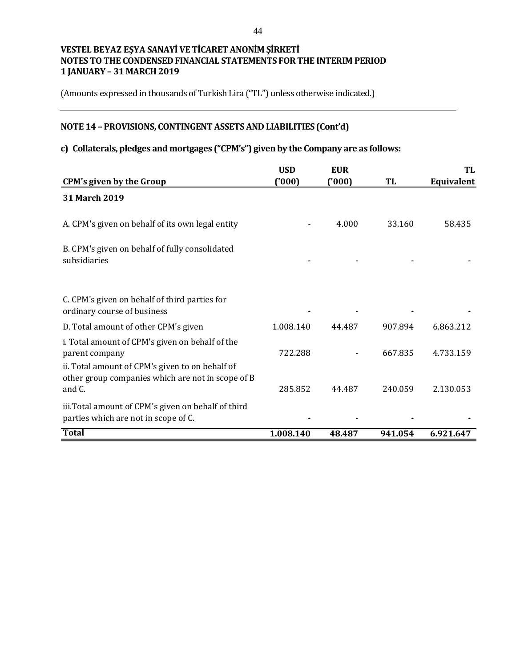(Amounts expressed in thousands of Turkish Lira ("TL") unless otherwise indicated.)

# **NOTE 14 – PROVISIONS, CONTINGENT ASSETS AND LIABILITIES (Cont'd)**

## **c) Collaterals, pledges and mortgages ("CPM's") given by the Company are as follows:**

|                                                                                                                      | <b>USD</b> | <b>EUR</b> |         | TL         |
|----------------------------------------------------------------------------------------------------------------------|------------|------------|---------|------------|
| <b>CPM's given by the Group</b>                                                                                      | (000)      | ('000)     | TL      | Equivalent |
| 31 March 2019                                                                                                        |            |            |         |            |
| A. CPM's given on behalf of its own legal entity                                                                     |            | 4.000      | 33.160  | 58.435     |
| B. CPM's given on behalf of fully consolidated<br>subsidiaries                                                       |            |            |         |            |
| C. CPM's given on behalf of third parties for<br>ordinary course of business                                         |            |            |         |            |
| D. Total amount of other CPM's given                                                                                 | 1.008.140  | 44.487     | 907.894 | 6.863.212  |
| i. Total amount of CPM's given on behalf of the<br>parent company<br>ii. Total amount of CPM's given to on behalf of | 722.288    |            | 667.835 | 4.733.159  |
| other group companies which are not in scope of B<br>and C.                                                          | 285.852    | 44.487     | 240.059 | 2.130.053  |
| iii. Total amount of CPM's given on behalf of third<br>parties which are not in scope of C.                          |            |            |         |            |
| <b>Total</b>                                                                                                         | 1.008.140  | 48.487     | 941.054 | 6.921.647  |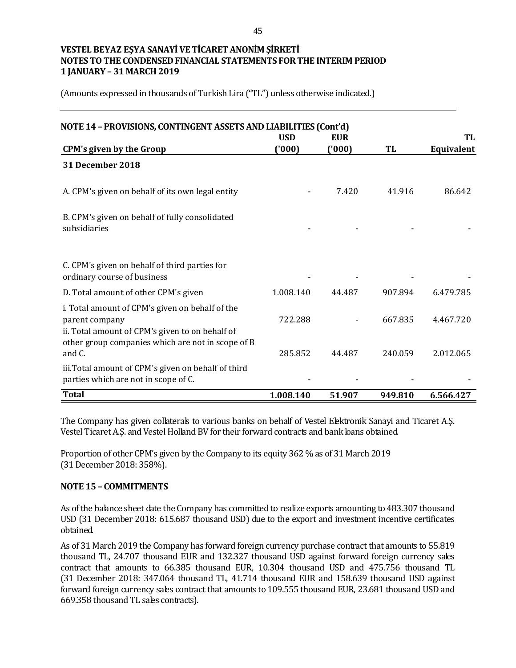(Amounts expressed in thousands of Turkish Lira ("TL") unless otherwise indicated.)

| NOTE 14 - PROVISIONS, CONTINGENT ASSETS AND LIABILITIES (Cont'd)                                                                                                          | <b>USD</b> | <b>EUR</b> |         | TL         |
|---------------------------------------------------------------------------------------------------------------------------------------------------------------------------|------------|------------|---------|------------|
| <b>CPM's given by the Group</b>                                                                                                                                           | (000)      | (000)      | TL      | Equivalent |
| 31 December 2018                                                                                                                                                          |            |            |         |            |
| A. CPM's given on behalf of its own legal entity                                                                                                                          |            | 7.420      | 41.916  | 86.642     |
| B. CPM's given on behalf of fully consolidated<br>subsidiaries                                                                                                            |            |            |         |            |
| C. CPM's given on behalf of third parties for<br>ordinary course of business                                                                                              |            |            |         |            |
| D. Total amount of other CPM's given                                                                                                                                      | 1.008.140  | 44.487     | 907.894 | 6.479.785  |
| i. Total amount of CPM's given on behalf of the<br>parent company<br>ii. Total amount of CPM's given to on behalf of<br>other group companies which are not in scope of B | 722.288    |            | 667.835 | 4.467.720  |
| and C.                                                                                                                                                                    | 285.852    | 44.487     | 240.059 | 2.012.065  |
| iii. Total amount of CPM's given on behalf of third<br>parties which are not in scope of C.                                                                               |            |            |         |            |
| <b>Total</b>                                                                                                                                                              | 1.008.140  | 51.907     | 949.810 | 6.566.427  |

The Company has given collaterals to various banks on behalf of Vestel Elektronik Sanayi and Ticaret A.Ş. Vestel Ticaret A.Ş. and Vestel Holland BV for their forward contracts and bank loans obtained.

Proportion of other CPM's given by the Company to its equity 362 % as of 31 March 2019 (31 December 2018: 358%).

#### **NOTE 15 – COMMITMENTS**

As of the balance sheet date the Company has committed to realize exports amounting to 483.307 thousand USD (31 December 2018: 615.687 thousand USD) due to the export and investment incentive certificates obtained.

As of 31 March 2019 the Company has forward foreign currency purchase contract that amounts to 55.819 thousand TL, 24.707 thousand EUR and 132.327 thousand USD against forward foreign currency sales contract that amounts to 66.385 thousand EUR, 10.304 thousand USD and 475.756 thousand TL (31 December 2018: 347.064 thousand TL, 41.714 thousand EUR and 158.639 thousand USD against forward foreign currency sales contract that amounts to 109.555 thousand EUR, 23.681 thousand USD and 669.358 thousand TL sales contracts).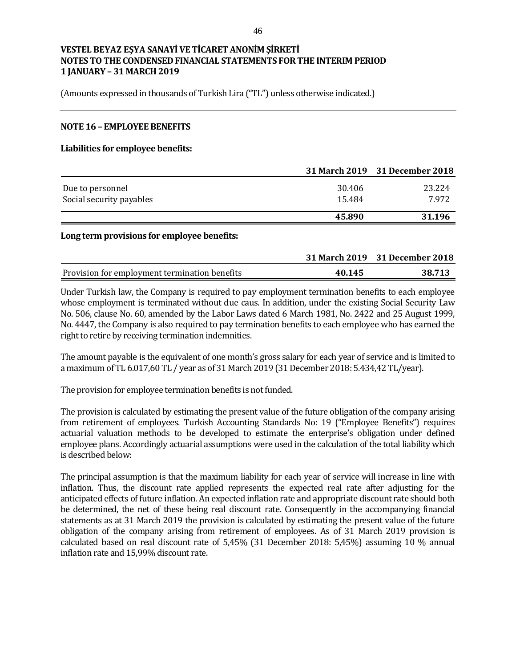(Amounts expressed in thousands of Turkish Lira ("TL") unless otherwise indicated.)

#### **NOTE 16 – EMPLOYEE BENEFITS**

#### **Liabilities for employee benefits:**

|                          |        | 31 March 2019 31 December 2018 |
|--------------------------|--------|--------------------------------|
| Due to personnel         | 30.406 | 23.224                         |
| Social security payables | 15.484 | 7.972                          |
|                          | 45.890 | 31.196                         |

#### **Long term provisions for employee benefits:**

|                                               |        | 31 March 2019 31 December 2018 |
|-----------------------------------------------|--------|--------------------------------|
| Provision for employment termination benefits | 40.145 | 38.713                         |

Under Turkish law, the Company is required to pay employment termination benefits to each employee whose employment is terminated without due caus. In addition, under the existing Social Security Law No. 506, clause No. 60, amended by the Labor Laws dated 6 March 1981, No. 2422 and 25 August 1999, No. 4447, the Company is also required to pay termination benefits to each employee who has earned the right to retire by receiving termination indemnities.

The amount payable is the equivalent of one month's gross salary for each year of service and is limited to a maximum of TL 6.017,60 TL / year as of 31 March 2019 (31 December 2018: 5.434,42 TL/year).

The provision for employee termination benefits is not funded.

The provision is calculated by estimating the present value of the future obligation of the company arising from retirement of employees. Turkish Accounting Standards No: 19 ("Employee Benefits") requires actuarial valuation methods to be developed to estimate the enterprise's obligation under defined employee plans. Accordingly actuarial assumptions were used in the calculation of the total liability which is described below:

The principal assumption is that the maximum liability for each year of service will increase in line with inflation. Thus, the discount rate applied represents the expected real rate after adjusting for the anticipated effects of future inflation. An expected inflation rate and appropriate discount rate should both be determined, the net of these being real discount rate. Consequently in the accompanying financial statements as at 31 March 2019 the provision is calculated by estimating the present value of the future obligation of the company arising from retirement of employees. As of 31 March 2019 provision is calculated based on real discount rate of 5,45% (31 December 2018: 5,45%) assuming 10 % annual inflation rate and 15,99% discount rate.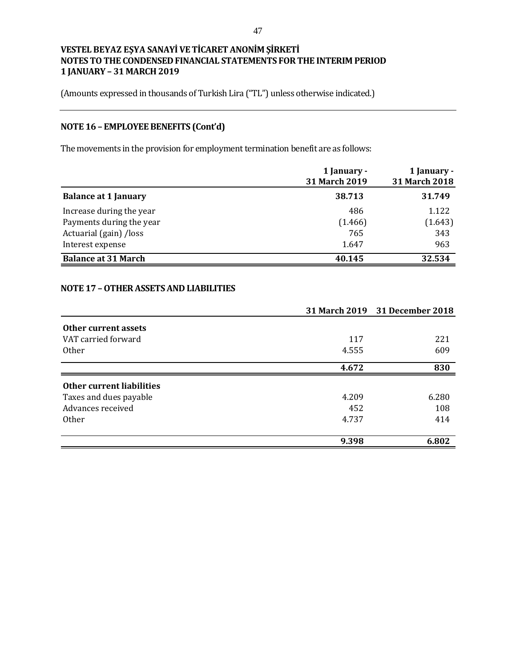(Amounts expressed in thousands of Turkish Lira ("TL") unless otherwise indicated.)

# **NOTE 16 – EMPLOYEE BENEFITS (Cont'd)**

The movements in the provision for employment termination benefit are as follows:

|                             | 1 January -<br>31 March 2019 | 1 January -<br>31 March 2018 |
|-----------------------------|------------------------------|------------------------------|
| <b>Balance at 1 January</b> | 38.713                       | 31.749                       |
| Increase during the year    | 486                          | 1.122                        |
| Payments during the year    | (1.466)                      | (1.643)                      |
| Actuarial (gain) /loss      | 765                          | 343                          |
| Interest expense            | 1.647                        | 963                          |
| <b>Balance at 31 March</b>  | 40.145                       | 32.534                       |

## **NOTE 17 –OTHER ASSETS AND LIABILITIES**

|                           |       | 31 March 2019 31 December 2018 |
|---------------------------|-------|--------------------------------|
| Other current assets      |       |                                |
| VAT carried forward       | 117   | 221                            |
| <b>Other</b>              | 4.555 | 609                            |
|                           | 4.672 | 830                            |
| Other current liabilities |       |                                |
| Taxes and dues payable    | 4.209 | 6.280                          |
| Advances received         | 452   | 108                            |
| <b>Other</b>              | 4.737 | 414                            |
|                           | 9.398 | 6.802                          |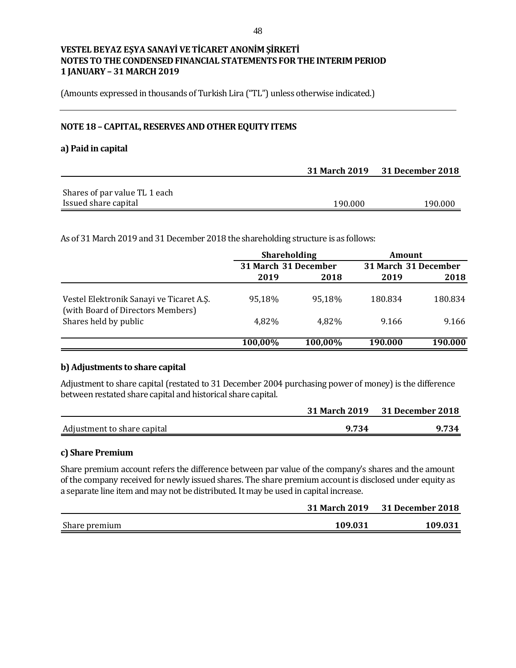(Amounts expressed in thousands of Turkish Lira ("TL") unless otherwise indicated.)

## **NOTE 18 – CAPITAL, RESERVES AND OTHER EQUITY ITEMS**

#### **a) Paid in capital**

|                               | 31 March 2019 31 December 2018 |         |
|-------------------------------|--------------------------------|---------|
|                               |                                |         |
| Shares of par value TL 1 each |                                |         |
| Issued share capital          | 190.000                        | 190.000 |

As of 31 March 2019 and 31 December 2018 the shareholding structure is as follows:

|                                                                               | <b>Shareholding</b> |                      | <b>Amount</b> |                      |  |
|-------------------------------------------------------------------------------|---------------------|----------------------|---------------|----------------------|--|
|                                                                               |                     | 31 March 31 December |               | 31 March 31 December |  |
|                                                                               | 2019                | 2018                 | 2019          | 2018                 |  |
| Vestel Elektronik Sanayi ve Ticaret A.Ş.<br>(with Board of Directors Members) | 95.18%              | 95.18%               | 180.834       | 180.834              |  |
| Shares held by public                                                         | 4,82%               | 4.82%                | 9.166         | 9.166                |  |
|                                                                               | 100,00%             | 100,00%              | 190.000       | 190.000              |  |

#### **b) Adjustments to share capital**

Adjustment to share capital (restated to 31 December 2004 purchasing power of money) is the difference between restated share capital and historical share capital.

|                             |       | 31 March 2019 31 December 2018 |
|-----------------------------|-------|--------------------------------|
| Adjustment to share capital | 9.734 | 9.734                          |

#### **c) Share Premium**

Share premium account refers the difference between par value of the company's shares and the amount of the company received for newly issued shares. The share premium account is disclosed under equity as a separate line item and may not be distributed. It may be used in capital increase.

|               | 31 March 2019 | 31 December 2018 |
|---------------|---------------|------------------|
| Share premium | 109.031       | 109.031          |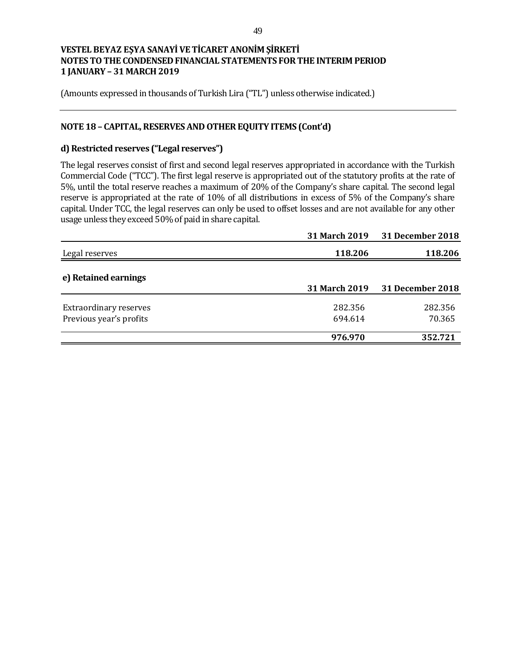(Amounts expressed in thousands of Turkish Lira ("TL") unless otherwise indicated.)

## **NOTE 18 – CAPITAL, RESERVES AND OTHER EQUITY ITEMS (Cont'd)**

## **d) Restricted reserves ("Legal reserves")**

The legal reserves consist of first and second legal reserves appropriated in accordance with the Turkish Commercial Code ("TCC"). The first legal reserve is appropriated out of the statutory profits at the rate of 5%, until the total reserve reaches a maximum of 20% of the Company's share capital. The second legal reserve is appropriated at the rate of 10% of all distributions in excess of 5% of the Company's share capital. Under TCC, the legal reserves can only be used to offset losses and are not available for any other usage unless they exceed 50% of paid in share capital.

| 118.206          |
|------------------|
| 31 December 2018 |
|                  |
| 282.356          |
| 70.365           |
| 352.721          |
|                  |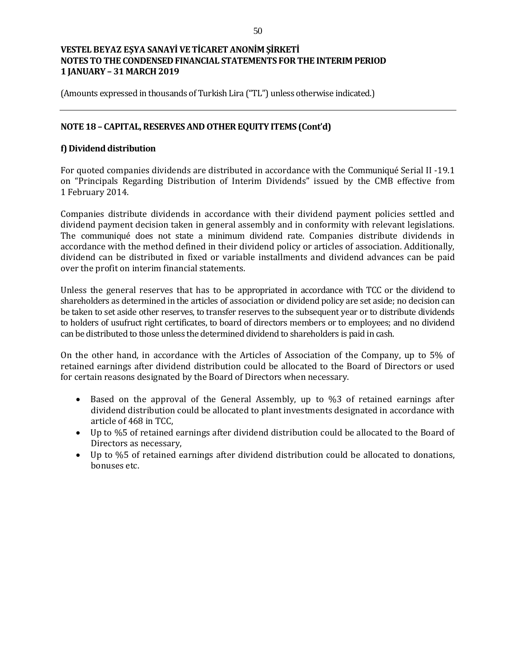(Amounts expressed in thousands of Turkish Lira ("TL") unless otherwise indicated.)

## **NOTE 18 – CAPITAL, RESERVES AND OTHER EQUITY ITEMS (Cont'd)**

## **f) Dividend distribution**

For quoted companies dividends are distributed in accordance with the Communiqué Serial II -19.1 on "Principals Regarding Distribution of Interim Dividends" issued by the CMB effective from 1 February 2014.

Companies distribute dividends in accordance with their dividend payment policies settled and dividend payment decision taken in general assembly and in conformity with relevant legislations. The communiqué does not state a minimum dividend rate. Companies distribute dividends in accordance with the method defined in their dividend policy or articles of association. Additionally, dividend can be distributed in fixed or variable installments and dividend advances can be paid over the profit on interim financial statements.

Unless the general reserves that has to be appropriated in accordance with TCC or the dividend to shareholders as determined in the articles of association or dividend policy are set aside; no decision can be taken to set aside other reserves, to transfer reserves to the subsequent year or to distribute dividends to holders of usufruct right certificates, to board of directors members or to employees; and no dividend can be distributed to those unless the determined dividend to shareholders is paid in cash.

On the other hand, in accordance with the Articles of Association of the Company, up to 5% of retained earnings after dividend distribution could be allocated to the Board of Directors or used for certain reasons designated by the Board of Directors when necessary.

- Based on the approval of the General Assembly, up to %3 of retained earnings after dividend distribution could be allocated to plant investments designated in accordance with article of 468 in TCC,
- Up to %5 of retained earnings after dividend distribution could be allocated to the Board of Directors as necessary,
- Up to %5 of retained earnings after dividend distribution could be allocated to donations, bonuses etc.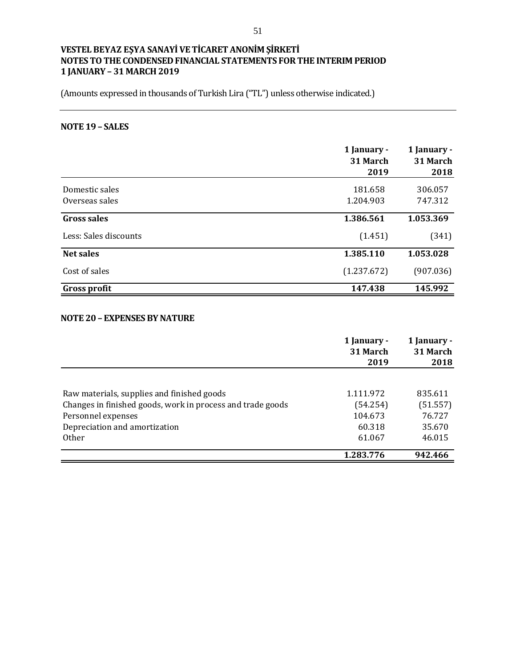(Amounts expressed in thousands of Turkish Lira ("TL") unless otherwise indicated.)

# **NOTE 19 – SALES**

|                       | 1 January -<br>31 March<br>2019 | 1 January -<br>31 March<br>2018 |
|-----------------------|---------------------------------|---------------------------------|
| Domestic sales        | 181.658                         | 306.057                         |
| Overseas sales        | 1.204.903                       | 747.312                         |
| <b>Gross sales</b>    | 1.386.561                       | 1.053.369                       |
| Less: Sales discounts | (1.451)                         | (341)                           |
| <b>Net sales</b>      | 1.385.110                       | 1.053.028                       |
| Cost of sales         | (1.237.672)                     | (907.036)                       |
| Gross profit          | 147.438                         | 145.992                         |

#### **NOTE 20 – EXPENSES BY NATURE**

|                                                            | 1 January -<br>31 March | 1 January -<br>31 March |
|------------------------------------------------------------|-------------------------|-------------------------|
|                                                            | 2019                    | 2018                    |
| Raw materials, supplies and finished goods                 | 1.111.972               | 835.611                 |
| Changes in finished goods, work in process and trade goods | (54.254)                | (51.557)                |
| Personnel expenses                                         | 104.673                 | 76.727                  |
| Depreciation and amortization                              | 60.318                  | 35.670                  |
| <b>Other</b>                                               | 61.067                  | 46.015                  |
|                                                            | 1.283.776               | 942.466                 |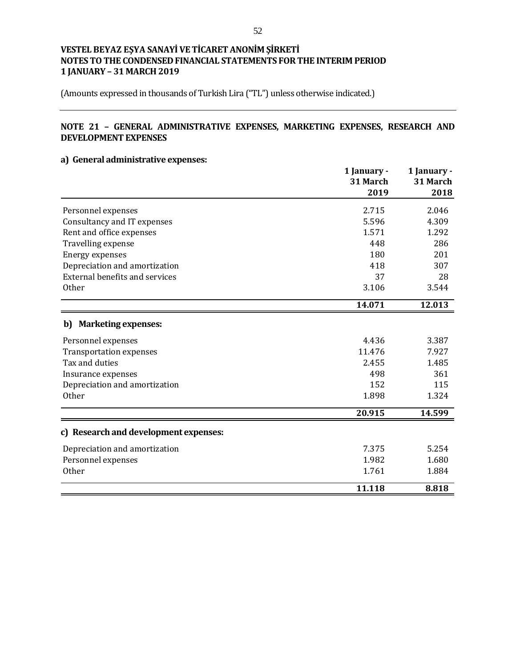(Amounts expressed in thousands of Turkish Lira ("TL") unless otherwise indicated.)

## **NOTE 21 – GENERAL ADMINISTRATIVE EXPENSES, MARKETING EXPENSES, RESEARCH AND DEVELOPMENT EXPENSES**

## **a) General administrative expenses:**

|                                       | 1 January -<br>31 March<br>2019 | 1 January -<br>31 March<br>2018 |
|---------------------------------------|---------------------------------|---------------------------------|
| Personnel expenses                    | 2.715                           | 2.046                           |
| Consultancy and IT expenses           | 5.596                           | 4.309                           |
| Rent and office expenses              | 1.571                           | 1.292                           |
| Travelling expense                    | 448                             | 286                             |
| <b>Energy expenses</b>                | 180                             | 201                             |
| Depreciation and amortization         | 418                             | 307                             |
| <b>External benefits and services</b> | 37                              | 28                              |
| Other                                 | 3.106                           | 3.544                           |
|                                       | 14.071                          | 12.013                          |
| b) Marketing expenses:                |                                 |                                 |
| Personnel expenses                    | 4.436                           | 3.387                           |
| <b>Transportation expenses</b>        | 11.476                          | 7.927                           |
| Tax and duties                        | 2.455                           | 1.485                           |
| Insurance expenses                    | 498                             | 361                             |
| Depreciation and amortization         | 152                             | 115                             |
| <b>Other</b>                          | 1.898                           | 1.324                           |
|                                       | 20.915                          | 14.599                          |
| c) Research and development expenses: |                                 |                                 |
| Depreciation and amortization         | 7.375                           | 5.254                           |
| Personnel expenses                    | 1.982                           | 1.680                           |
| <b>Other</b>                          | 1.761                           | 1.884                           |
|                                       | 11.118                          | 8.818                           |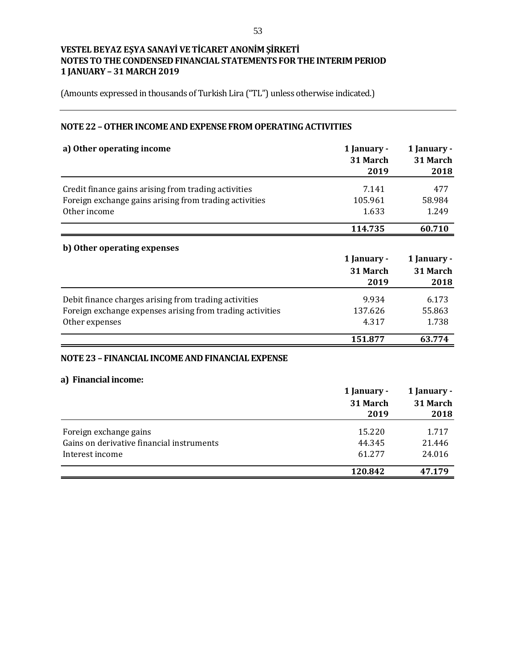(Amounts expressed in thousands of Turkish Lira ("TL") unless otherwise indicated.)

## **NOTE 22 –OTHER INCOME AND EXPENSE FROM OPERATING ACTIVITIES**

| a) Other operating income                                 | 1 January -<br>31 March | 1 January -<br>31 March |
|-----------------------------------------------------------|-------------------------|-------------------------|
|                                                           | 2019                    | 2018                    |
| Credit finance gains arising from trading activities      | 7.141                   | 477                     |
| Foreign exchange gains arising from trading activities    | 105.961                 | 58.984                  |
| Other income                                              | 1.633                   | 1.249                   |
|                                                           | 114.735                 | 60.710                  |
| b) Other operating expenses                               |                         |                         |
|                                                           | 1 January -             | 1 January -             |
|                                                           | 31 March                | 31 March                |
|                                                           | 2019                    | 2018                    |
| Debit finance charges arising from trading activities     | 9.934                   | 6.173                   |
| Foreign exchange expenses arising from trading activities | 137.626                 | 55.863                  |
| Other expenses                                            | 4.317                   | 1.738                   |
|                                                           | 151.877                 | 63.774                  |
| NOTE 23 - FINANCIAL INCOME AND FINANCIAL EXPENSE          |                         |                         |
|                                                           |                         |                         |
| a) Financial income:                                      |                         |                         |

|                                           | 1 January -<br>31 March<br>2019 | 1 January -<br>31 March<br>2018 |
|-------------------------------------------|---------------------------------|---------------------------------|
| Foreign exchange gains                    | 15.220                          | 1.717                           |
| Gains on derivative financial instruments | 44.345                          | 21.446                          |
| Interest income                           | 61.277                          | 24.016                          |
|                                           | 120.842                         | 47.179                          |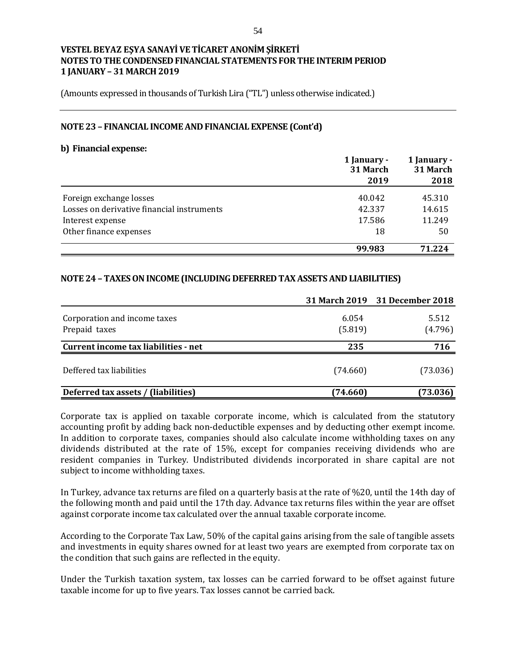(Amounts expressed in thousands of Turkish Lira ("TL") unless otherwise indicated.)

#### **NOTE 23 – FINANCIAL INCOME AND FINANCIAL EXPENSE (Cont'd)**

#### **b) Financial expense:**

|                                            | 1 January -<br>31 March | 1 January -<br>31 March |  |
|--------------------------------------------|-------------------------|-------------------------|--|
|                                            | 2019                    | 2018                    |  |
| Foreign exchange losses                    | 40.042                  | 45.310                  |  |
| Losses on derivative financial instruments | 42.337                  | 14.615                  |  |
| Interest expense                           | 17.586                  | 11.249                  |  |
| Other finance expenses                     | 18                      | 50                      |  |
|                                            | 99.983                  | 71.224                  |  |

## **NOTE 24 – TAXES ON INCOME (INCLUDING DEFERRED TAX ASSETS AND LIABILITIES)**

|                                      |          | 31 March 2019 31 December 2018 |
|--------------------------------------|----------|--------------------------------|
| Corporation and income taxes         | 6.054    | 5.512                          |
| Prepaid taxes                        | (5.819)  | (4.796)                        |
| Current income tax liabilities - net | 235      | 716                            |
| Deffered tax liabilities             | (74.660) | (73.036)                       |
| Deferred tax assets / (liabilities)  | (74.660) | (73.036)                       |

Corporate tax is applied on taxable corporate income, which is calculated from the statutory accounting profit by adding back non-deductible expenses and by deducting other exempt income. In addition to corporate taxes, companies should also calculate income withholding taxes on any dividends distributed at the rate of 15%, except for companies receiving dividends who are resident companies in Turkey. Undistributed dividends incorporated in share capital are not subject to income withholding taxes.

In Turkey, advance tax returns are filed on a quarterly basis at the rate of %20, until the 14th day of the following month and paid until the 17th day. Advance tax returns files within the year are offset against corporate income tax calculated over the annual taxable corporate income.

According to the Corporate Tax Law, 50% of the capital gains arising from the sale of tangible assets and investments in equity shares owned for at least two years are exempted from corporate tax on the condition that such gains are reflected in the equity.

Under the Turkish taxation system, tax losses can be carried forward to be offset against future taxable income for up to five years. Tax losses cannot be carried back.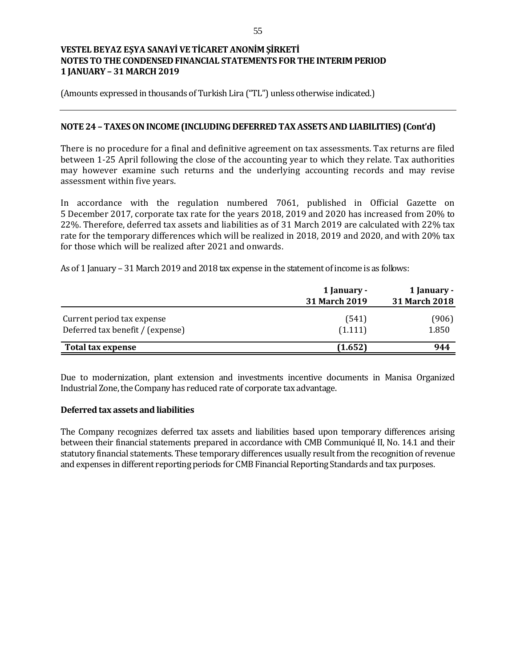(Amounts expressed in thousands of Turkish Lira ("TL") unless otherwise indicated.)

### **NOTE 24 – TAXES ON INCOME (INCLUDING DEFERRED TAX ASSETS AND LIABILITIES) (Cont'd)**

There is no procedure for a final and definitive agreement on tax assessments. Tax returns are filed between 1-25 April following the close of the accounting year to which they relate. Tax authorities may however examine such returns and the underlying accounting records and may revise assessment within five years.

In accordance with the regulation numbered 7061, published in Official Gazette on 5 December 2017, corporate tax rate for the years 2018, 2019 and 2020 has increased from 20% to 22%. Therefore, deferred tax assets and liabilities as of 31 March 2019 are calculated with 22% tax rate for the temporary differences which will be realized in 2018, 2019 and 2020, and with 20% tax for those which will be realized after 2021 and onwards.

As of 1 January – 31 March 2019 and 2018 tax expense in the statement of income is as follows:

|                                                                | 1 January -<br>31 March 2019 | 1 January -<br>31 March 2018 |
|----------------------------------------------------------------|------------------------------|------------------------------|
| Current period tax expense<br>Deferred tax benefit / (expense) | (541)<br>(1.111)             | (906)<br>1.850               |
| Total tax expense                                              | (1.652)                      | 944                          |

Due to modernization, plant extension and investments incentive documents in Manisa Organized Industrial Zone, the Company has reduced rate of corporate tax advantage.

#### **Deferred tax assets and liabilities**

The Company recognizes deferred tax assets and liabilities based upon temporary differences arising between their financial statements prepared in accordance with CMB Communiqué II, No. 14.1 and their statutory financial statements. These temporary differences usually result from the recognition of revenue and expenses in different reporting periods for CMB Financial Reporting Standards and tax purposes.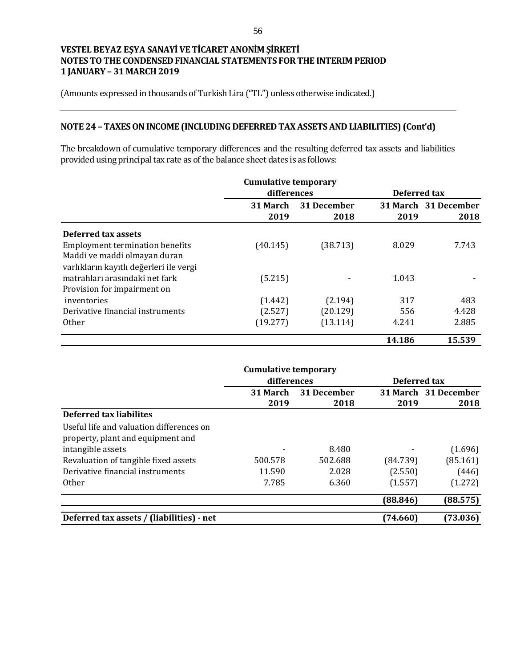(Amounts expressed in thousands of Turkish Lira ("TL") unless otherwise indicated.)

# **NOTE 24 – TAXES ON INCOME (INCLUDING DEFERRED TAX ASSETS AND LIABILITIES) (Cont'd)**

The breakdown of cumulative temporary differences and the resulting deferred tax assets and liabilities provided using principal tax rate as of the balance sheet dates is as follows:

|                                         |             | <b>Cumulative temporary</b> |        |                      |  |
|-----------------------------------------|-------------|-----------------------------|--------|----------------------|--|
|                                         | differences |                             |        | Deferred tax         |  |
|                                         | 31 March    | 31 December                 |        | 31 March 31 December |  |
|                                         | 2019        | 2018                        | 2019   | 2018                 |  |
| Deferred tax assets                     |             |                             |        |                      |  |
| <b>Employment termination benefits</b>  | (40.145)    | (38.713)                    | 8.029  | 7.743                |  |
| Maddi ve maddi olmayan duran            |             |                             |        |                      |  |
| varlıkların kayıtlı değerleri ile vergi |             |                             |        |                      |  |
| matrahları arasındaki net fark          | (5.215)     |                             | 1.043  |                      |  |
| Provision for impairment on             |             |                             |        |                      |  |
| inventories                             | (1.442)     | (2.194)                     | 317    | 483                  |  |
| Derivative financial instruments        | (2.527)     | (20.129)                    | 556    | 4.428                |  |
| <b>Other</b>                            | (19.277)    | (13.114)                    | 4.241  | 2.885                |  |
|                                         |             |                             | 14.186 | 15.539               |  |

|                                           | <b>Cumulative temporary</b> |             |              |                      |
|-------------------------------------------|-----------------------------|-------------|--------------|----------------------|
|                                           | differences                 |             | Deferred tax |                      |
|                                           | 31 March                    | 31 December |              | 31 March 31 December |
|                                           | 2019                        | 2018        | 2019         | 2018                 |
| Deferred tax liabilites                   |                             |             |              |                      |
| Useful life and valuation differences on  |                             |             |              |                      |
| property, plant and equipment and         |                             |             |              |                      |
| intangible assets                         |                             | 8.480       |              | (1.696)              |
| Revaluation of tangible fixed assets      | 500.578                     | 502.688     | (84.739)     | (85.161)             |
| Derivative financial instruments          | 11.590                      | 2.028       | (2.550)      | (446)                |
| <b>Other</b>                              | 7.785                       | 6.360       | (1.557)      | (1.272)              |
|                                           |                             |             | (88.846)     | (88.575)             |
| Deferred tax assets / (liabilities) - net |                             |             | (74.660)     | (73.036)             |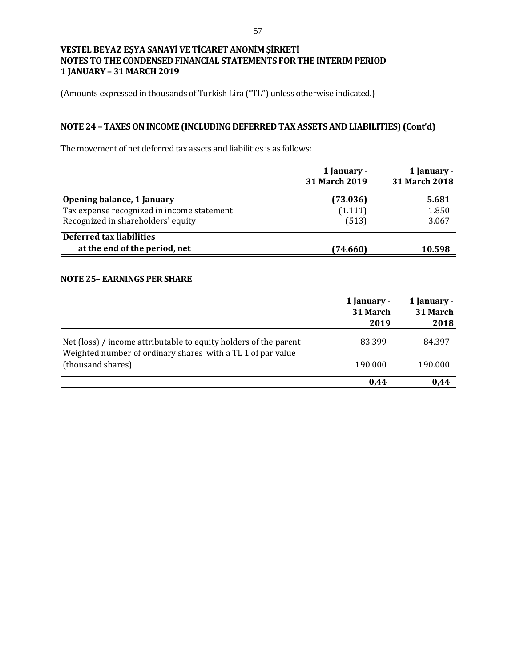(Amounts expressed in thousands of Turkish Lira ("TL") unless otherwise indicated.)

# **NOTE 24 – TAXES ON INCOME (INCLUDING DEFERRED TAX ASSETS AND LIABILITIES) (Cont'd)**

The movement of net deferred tax assets and liabilities is as follows:

|                                                                                                                | 1 January -<br>31 March 2019 | 1 January -<br>31 March 2018 |
|----------------------------------------------------------------------------------------------------------------|------------------------------|------------------------------|
| Opening balance, 1 January<br>Tax expense recognized in income statement<br>Recognized in shareholders' equity | (73.036)<br>(1.111)<br>(513) | 5.681<br>1.850<br>3.067      |
| Deferred tax liabilities<br>at the end of the period, net                                                      | (74.660)                     | 10.598                       |

## **NOTE 25– EARNINGS PER SHARE**

|                                                                                                                                 | 1 January -<br>31 March<br>2019 | 1 January -<br>31 March<br>2018 |
|---------------------------------------------------------------------------------------------------------------------------------|---------------------------------|---------------------------------|
| Net (loss) / income attributable to equity holders of the parent<br>Weighted number of ordinary shares with a TL 1 of par value | 83.399                          | 84.397                          |
| (thousand shares)                                                                                                               | 190.000                         | 190.000                         |
|                                                                                                                                 | 0.44                            | 0.44                            |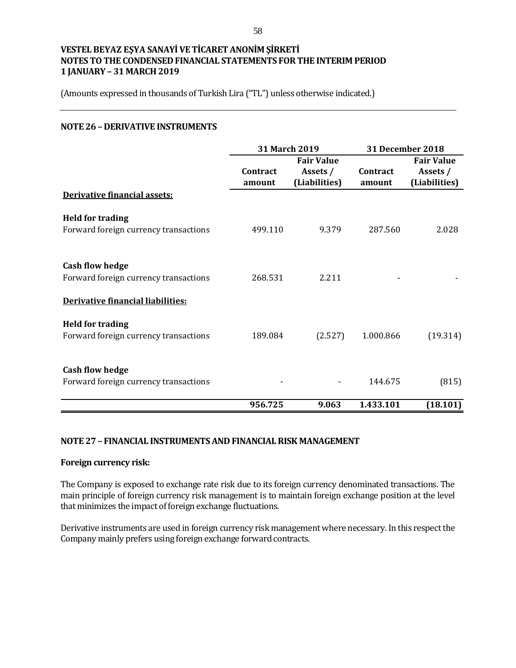(Amounts expressed in thousands of Turkish Lira ("TL") unless otherwise indicated.)

#### **NOTE 26 – DERIVATIVE INSTRUMENTS**

|                                                                  |                    | 31 March 2019                                  |                    | <b>31 December 2018</b>                        |  |
|------------------------------------------------------------------|--------------------|------------------------------------------------|--------------------|------------------------------------------------|--|
|                                                                  | Contract<br>amount | <b>Fair Value</b><br>Assets /<br>(Liabilities) | Contract<br>amount | <b>Fair Value</b><br>Assets /<br>(Liabilities) |  |
| Derivative financial assets:                                     |                    |                                                |                    |                                                |  |
| <b>Held for trading</b><br>Forward foreign currency transactions | 499.110            | 9.379                                          | 287.560            | 2.028                                          |  |
| <b>Cash flow hedge</b><br>Forward foreign currency transactions  | 268.531            | 2.211                                          |                    |                                                |  |
| Derivative financial liabilities:                                |                    |                                                |                    |                                                |  |
| <b>Held for trading</b><br>Forward foreign currency transactions | 189.084            | (2.527)                                        | 1.000.866          | (19.314)                                       |  |
| <b>Cash flow hedge</b><br>Forward foreign currency transactions  |                    |                                                | 144.675            | (815)                                          |  |
|                                                                  | 956.725            | 9.063                                          | 1.433.101          | (18.101)                                       |  |

#### **NOTE 27 – FINANCIAL INSTRUMENTS AND FINANCIAL RISK MANAGEMENT**

#### **Foreign currency risk:**

The Company is exposed to exchange rate risk due to its foreign currency denominated transactions. The main principle of foreign currency risk management is to maintain foreign exchange position at the level that minimizes the impact of foreign exchange fluctuations.

Derivative instruments are used in foreign currency risk management where necessary. In this respect the Company mainly prefers using foreign exchange forward contracts.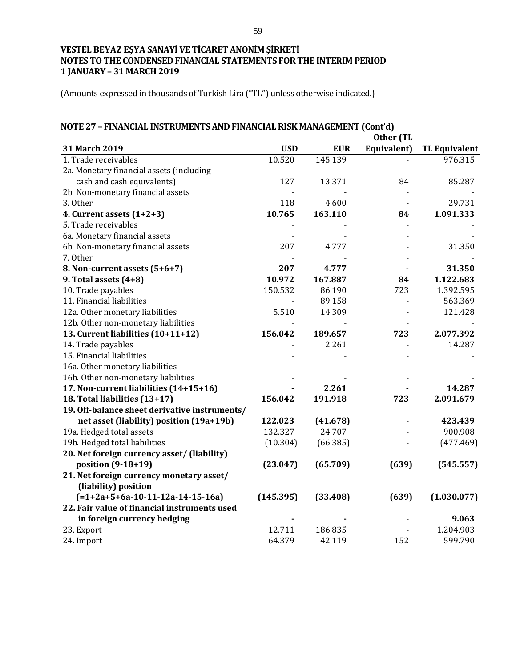| NOTE 27 - FINANCIAL INSTRUMENTS AND FINANCIAL RISK MANAGEMENT (Cont'd) |            |            |             |                      |
|------------------------------------------------------------------------|------------|------------|-------------|----------------------|
| Other (TL                                                              |            |            |             |                      |
| 31 March 2019                                                          | <b>USD</b> | <b>EUR</b> | Equivalent) | <b>TL Equivalent</b> |
| 1. Trade receivables                                                   | 10.520     | 145.139    |             | 976.315              |
| 2a. Monetary financial assets (including                               |            |            |             |                      |
| cash and cash equivalents)                                             | 127        | 13.371     | 84          | 85.287               |
| 2b. Non-monetary financial assets                                      |            |            |             |                      |
| 3. Other                                                               | 118        | 4.600      |             | 29.731               |
| 4. Current assets (1+2+3)                                              | 10.765     | 163.110    | 84          | 1.091.333            |
| 5. Trade receivables                                                   |            |            |             |                      |
| 6a. Monetary financial assets                                          |            |            |             |                      |
| 6b. Non-monetary financial assets                                      | 207        | 4.777      |             | 31.350               |
| 7. Other                                                               |            |            |             |                      |
| 8. Non-current assets (5+6+7)                                          | 207        | 4.777      |             | 31.350               |
| 9. Total assets $(4+8)$                                                | 10.972     | 167.887    | 84          | 1.122.683            |
| 10. Trade payables                                                     | 150.532    | 86.190     | 723         | 1.392.595            |
| 11. Financial liabilities                                              |            | 89.158     |             | 563.369              |
| 12a. Other monetary liabilities                                        | 5.510      | 14.309     |             | 121.428              |
| 12b. Other non-monetary liabilities                                    |            |            |             |                      |
| 13. Current liabilities (10+11+12)                                     | 156.042    | 189.657    | 723         | 2.077.392            |
| 14. Trade payables                                                     |            | 2.261      |             | 14.287               |
| 15. Financial liabilities                                              |            |            |             |                      |
| 16a. Other monetary liabilities                                        |            |            |             |                      |
| 16b. Other non-monetary liabilities                                    |            |            |             |                      |
| 17. Non-current liabilities (14+15+16)                                 |            | 2.261      |             | 14.287               |
| 18. Total liabilities (13+17)                                          | 156.042    | 191.918    | 723         | 2.091.679            |
| 19. Off-balance sheet derivative instruments/                          |            |            |             |                      |
| net asset (liability) position (19a+19b)                               | 122.023    | (41.678)   |             | 423.439              |
| 19a. Hedged total assets                                               | 132.327    | 24.707     |             | 900.908              |
| 19b. Hedged total liabilities                                          | (10.304)   | (66.385)   |             | (477.469)            |
| 20. Net foreign currency asset/ (liability)                            |            |            |             |                      |
| position (9-18+19)                                                     | (23.047)   | (65.709)   | (639)       | (545.557)            |
| 21. Net foreign currency monetary asset/                               |            |            |             |                      |
| (liability) position                                                   |            |            |             |                      |
| $(=1+2a+5+6a-10-11-12a-14-15-16a)$                                     | (145.395)  | (33.408)   | (639)       | (1.030.077)          |
| 22. Fair value of financial instruments used                           |            |            |             |                      |
| in foreign currency hedging                                            |            |            |             | 9.063                |
| 23. Export                                                             | 12.711     | 186.835    |             | 1.204.903            |
| 24. Import                                                             | 64.379     | 42.119     | 152         | 599.790              |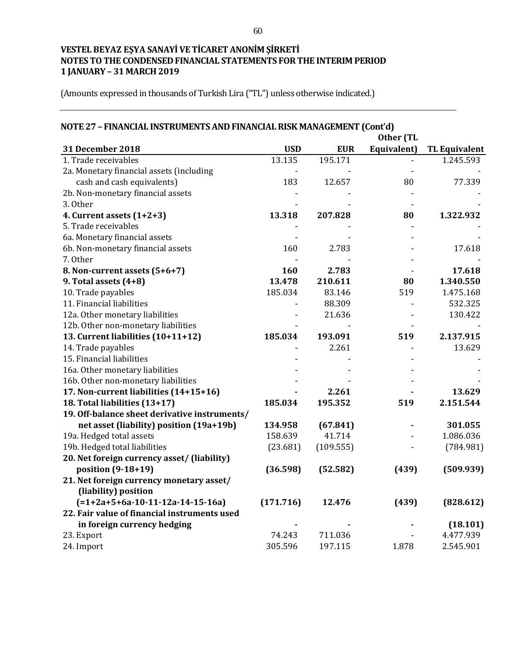| NOTE 27 - FINANCIAL INSTRUMENTS AND FINANCIAL RISK MANAGEMENT (Cont'd) |            |            |             |                      |  |  |
|------------------------------------------------------------------------|------------|------------|-------------|----------------------|--|--|
|                                                                        | Other (TL  |            |             |                      |  |  |
| 31 December 2018                                                       | <b>USD</b> | <b>EUR</b> | Equivalent) | <b>TL Equivalent</b> |  |  |
| 1. Trade receivables                                                   | 13.135     | 195.171    |             | 1.245.593            |  |  |
| 2a. Monetary financial assets (including                               |            |            |             |                      |  |  |
| cash and cash equivalents)                                             | 183        | 12.657     | 80          | 77.339               |  |  |
| 2b. Non-monetary financial assets                                      |            |            |             |                      |  |  |
| 3. Other                                                               |            |            |             |                      |  |  |
| 4. Current assets (1+2+3)                                              | 13.318     | 207.828    | 80          | 1.322.932            |  |  |
| 5. Trade receivables                                                   |            |            |             |                      |  |  |
| 6a. Monetary financial assets                                          |            |            |             |                      |  |  |
| 6b. Non-monetary financial assets                                      | 160        | 2.783      |             | 17.618               |  |  |
| 7. Other                                                               |            |            |             |                      |  |  |
| 8. Non-current assets (5+6+7)                                          | 160        | 2.783      |             | 17.618               |  |  |
| 9. Total assets (4+8)                                                  | 13.478     | 210.611    | 80          | 1.340.550            |  |  |
| 10. Trade payables                                                     | 185.034    | 83.146     | 519         | 1.475.168            |  |  |
| 11. Financial liabilities                                              |            | 88.309     |             | 532.325              |  |  |
| 12a. Other monetary liabilities                                        |            | 21.636     |             | 130.422              |  |  |
| 12b. Other non-monetary liabilities                                    |            |            |             |                      |  |  |
| 13. Current liabilities (10+11+12)                                     | 185.034    | 193.091    | 519         | 2.137.915            |  |  |
| 14. Trade payables                                                     |            | 2.261      |             | 13.629               |  |  |
| 15. Financial liabilities                                              |            |            |             |                      |  |  |
| 16a. Other monetary liabilities                                        |            |            |             |                      |  |  |
| 16b. Other non-monetary liabilities                                    |            |            |             |                      |  |  |
| 17. Non-current liabilities (14+15+16)                                 |            | 2.261      |             | 13.629               |  |  |
| 18. Total liabilities (13+17)                                          | 185.034    | 195.352    | 519         | 2.151.544            |  |  |
| 19. Off-balance sheet derivative instruments/                          |            |            |             |                      |  |  |
| net asset (liability) position (19a+19b)                               | 134.958    | (67.841)   |             | 301.055              |  |  |
| 19a. Hedged total assets                                               | 158.639    | 41.714     |             | 1.086.036            |  |  |
| 19b. Hedged total liabilities                                          | (23.681)   | (109.555)  |             | (784.981)            |  |  |
| 20. Net foreign currency asset/ (liability)                            |            |            |             |                      |  |  |
| position (9-18+19)                                                     | (36.598)   | (52.582)   | (439)       | (509.939)            |  |  |
| 21. Net foreign currency monetary asset/                               |            |            |             |                      |  |  |
| (liability) position                                                   |            |            |             |                      |  |  |
| $(=1+2a+5+6a-10-11-12a-14-15-16a)$                                     | (171.716)  | 12.476     | (439)       | (828.612)            |  |  |
| 22. Fair value of financial instruments used                           |            |            |             |                      |  |  |
| in foreign currency hedging                                            |            |            |             | (18.101)             |  |  |
| 23. Export                                                             | 74.243     | 711.036    |             | 4.477.939            |  |  |
| 24. Import                                                             | 305.596    | 197.115    | 1.878       | 2.545.901            |  |  |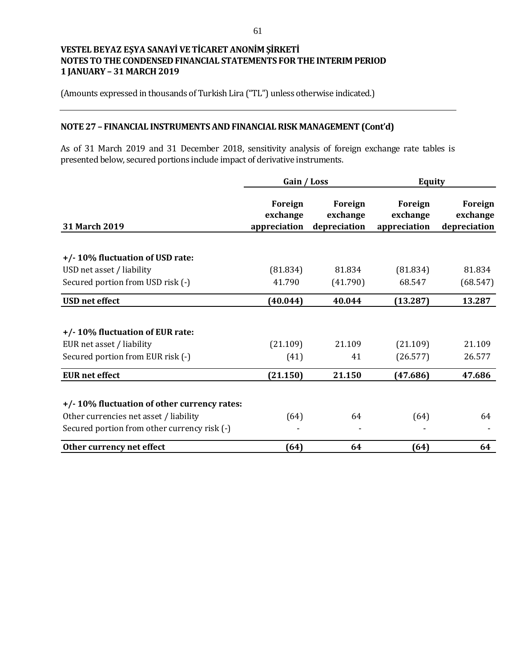(Amounts expressed in thousands of Turkish Lira ("TL") unless otherwise indicated.)

## **NOTE 27 – FINANCIAL INSTRUMENTS AND FINANCIAL RISK MANAGEMENT (Cont'd)**

As of 31 March 2019 and 31 December 2018, sensitivity analysis of foreign exchange rate tables is presented below, secured portions include impact of derivative instruments.

|                                              | Gain / Loss                         |                                     | <b>Equity</b>                       |                                     |
|----------------------------------------------|-------------------------------------|-------------------------------------|-------------------------------------|-------------------------------------|
| 31 March 2019                                | Foreign<br>exchange<br>appreciation | Foreign<br>exchange<br>depreciation | Foreign<br>exchange<br>appreciation | Foreign<br>exchange<br>depreciation |
|                                              |                                     |                                     |                                     |                                     |
| +/-10% fluctuation of USD rate:              |                                     |                                     |                                     |                                     |
| USD net asset / liability                    | (81.834)                            | 81.834                              | (81.834)                            | 81.834                              |
| Secured portion from USD risk (-)            | 41.790                              | (41.790)                            | 68.547                              | (68.547)                            |
| <b>USD</b> net effect                        | (40.044)                            | 40.044                              | (13.287)                            | 13.287                              |
| +/-10% fluctuation of EUR rate:              |                                     |                                     |                                     |                                     |
| EUR net asset / liability                    | (21.109)                            | 21.109                              | (21.109)                            | 21.109                              |
| Secured portion from EUR risk (-)            | (41)                                | 41                                  | (26.577)                            | 26.577                              |
| <b>EUR</b> net effect                        | (21.150)                            | 21.150                              | (47.686)                            | 47.686                              |
| +/-10% fluctuation of other currency rates:  |                                     |                                     |                                     |                                     |
| Other currencies net asset / liability       | (64)                                | 64                                  | (64)                                | 64                                  |
| Secured portion from other currency risk (-) |                                     |                                     |                                     |                                     |
| Other currency net effect                    | (64)                                | 64                                  | (64)                                | 64                                  |